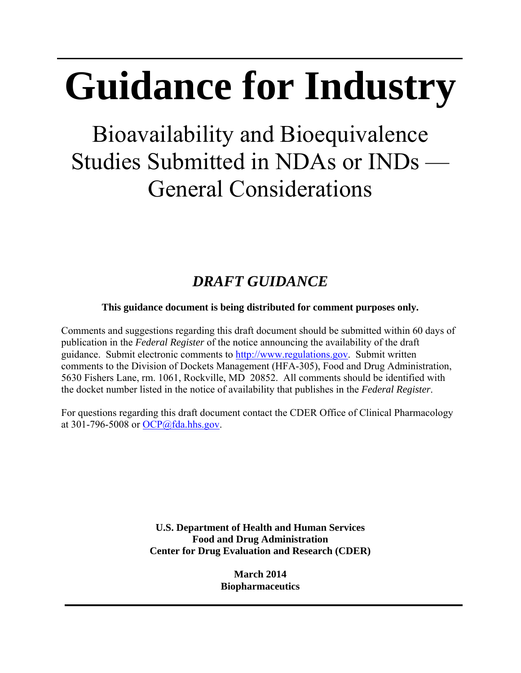# **Guidance for Industry**

# Bioavailability and Bioequivalence Studies Submitted in NDAs or INDs — General Considerations

# *DRAFT GUIDANCE*

#### **This guidance document is being distributed for comment purposes only.**

Comments and suggestions regarding this draft document should be submitted within 60 days of publication in the *Federal Register* of the notice announcing the availability of the draft guidance. Submit electronic comments to http://www.regulations.gov. Submit written comments to the Division of Dockets Management (HFA-305), Food and Drug Administration, 5630 Fishers Lane, rm. 1061, Rockville, MD 20852. All comments should be identified with the docket number listed in the notice of availability that publishes in the *Federal Register*.

For questions regarding this draft document contact the CDER Office of Clinical Pharmacology at 301-796-5008 or OCP@fda.hhs.gov.

> **U.S. Department of Health and Human Services Food and Drug Administration Center for Drug Evaluation and Research (CDER)**

> > **March 2014 Biopharmaceutics**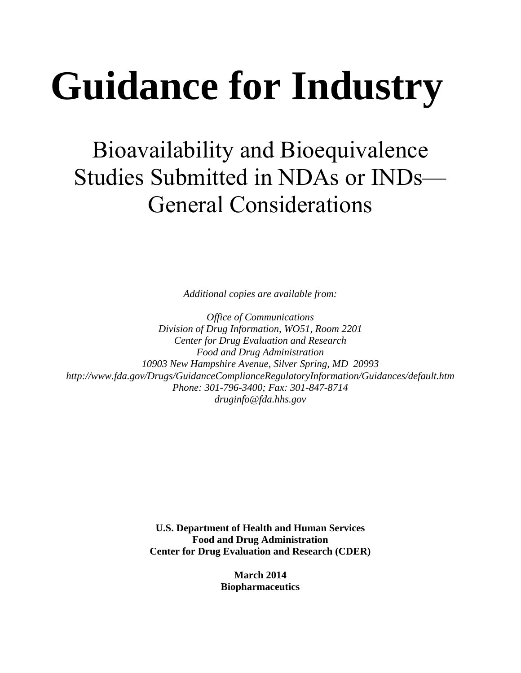# **Guidance for Industry**

Bioavailability and Bioequivalence Studies Submitted in NDAs or INDs— General Considerations

*Additional copies are available from:* 

*Office of Communications Division of Drug Information, WO51, Room 2201 Center for Drug Evaluation and Research Food and Drug Administration 10903 New Hampshire Avenue, Silver Spring, MD 20993 http://www.fda.gov/Drugs/GuidanceComplianceRegulatoryInformation/Guidances/default.htm Phone: 301-796-3400; Fax: 301-847-8714 druginfo@fda.hhs.gov* 

> **U.S. Department of Health and Human Services Food and Drug Administration Center for Drug Evaluation and Research (CDER)**

> > **March 2014 Biopharmaceutics**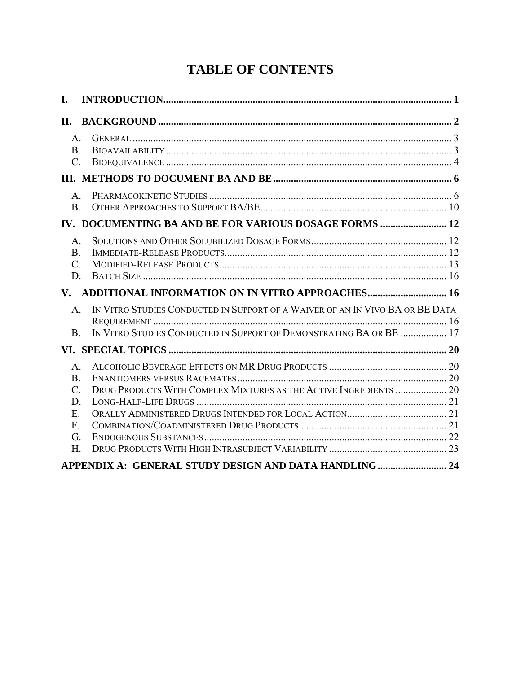## **TABLE OF CONTENTS**

| I.                                                  |                                                                                                                                                      |  |
|-----------------------------------------------------|------------------------------------------------------------------------------------------------------------------------------------------------------|--|
| II.                                                 |                                                                                                                                                      |  |
| A.<br><b>B</b> .<br>$C_{\cdot}$                     |                                                                                                                                                      |  |
|                                                     |                                                                                                                                                      |  |
| A.<br>B <sub>1</sub>                                |                                                                                                                                                      |  |
|                                                     | IV. DOCUMENTING BA AND BE FOR VARIOUS DOSAGE FORMS  12                                                                                               |  |
| $\mathsf{A}$<br><b>B.</b><br>$\mathcal{C}$ .<br>D.  |                                                                                                                                                      |  |
| $\mathbf{V}_{\bullet}$                              |                                                                                                                                                      |  |
| $\mathsf{A}$<br><b>B</b> .                          | IN VITRO STUDIES CONDUCTED IN SUPPORT OF A WAIVER OF AN IN VIVO BA OR BE DATA<br>IN VITRO STUDIES CONDUCTED IN SUPPORT OF DEMONSTRATING BA OR BE  17 |  |
|                                                     |                                                                                                                                                      |  |
| A.<br>B.<br>$\mathcal{C}$ .<br>D.<br>Ε.<br>F.<br>G. |                                                                                                                                                      |  |
|                                                     |                                                                                                                                                      |  |
| H.                                                  |                                                                                                                                                      |  |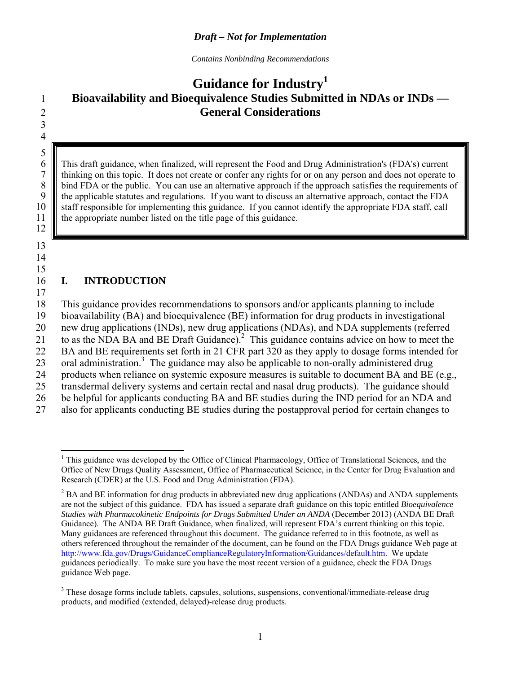*Contains Nonbinding Recommendations* 

#### **Guidance for Industry1**  1 **Bioavailability and Bioequivalence Studies Submitted in NDAs or INDs —**  2 **General Considerations**

6 This draft guidance, when finalized, will represent the Food and Drug Administration's (FDA's) current the Food and Drug Administration's (FDA's) current the Food and Drug Administration's (FDA's) current 7 thinking on this topic. It does not create or confer any rights for or on any person and does not operate to 8 bind FDA or the public. You can use an alternative approach if the approach satisfies the requirements of the applicable statutes and regulations. If you want to discuss an alternative approach, contact the FDA 9 the applicable statutes and regulations. If you want to discuss an alternative approach, contact the FDA 10 staff responsible for implementing this guidance. If you cannot identify the appropriate FDA staff, call 11 **the appropriate number listed on the title page of this guidance.** 

12 13 14

17

3 4

 $\frac{5}{6}$ 

#### 15 16 **I. INTRODUCTION**

18 This guidance provides recommendations to sponsors and/or applicants planning to include 19 bioavailability (BA) and bioequivalence (BE) information for drug products in investigational

20 new drug applications (INDs), new drug applications (NDAs), and NDA supplements (referred

21 to as the NDA BA and BE Draft Guidance).<sup>2</sup> This guidance contains advice on how to meet the

22 BA and BE requirements set forth in 21 CFR part 320 as they apply to dosage forms intended for

23 oral administration.<sup>3</sup> The guidance may also be applicable to non-orally administered drug

24 products when reliance on systemic exposure measures is suitable to document BA and BE (e.g.,

25 transdermal delivery systems and certain rectal and nasal drug products). The guidance should

26 be helpful for applicants conducting BA and BE studies during the IND period for an NDA and

27 also for applicants conducting BE studies during the postapproval period for certain changes to

<sup>&</sup>lt;sup>1</sup> This guidance was developed by the Office of Clinical Pharmacology, Office of Translational Sciences, and the Office of New Drugs Quality Assessment, Office of Pharmaceutical Science, in the Center for Drug Evaluation and Research (CDER) at the U.S. Food and Drug Administration (FDA).

 $2$  BA and BE information for drug products in abbreviated new drug applications (ANDAs) and ANDA supplements are not the subject of this guidance. FDA has issued a separate draft guidance on this topic entitled *Bioequivalence Studies with Pharmacokinetic Endpoints for Drugs Submitted Under an ANDA* (December 2013) (ANDA BE Draft Guidance). The ANDA BE Draft Guidance, when finalized, will represent FDA's current thinking on this topic. Many guidances are referenced throughout this document. The guidance referred to in this footnote, as well as others referenced throughout the remainder of the document, can be found on the FDA Drugs guidance Web page at http://www.fda.gov/Drugs/GuidanceComplianceRegulatoryInformation/Guidances/default.htm. We update guidances periodically. To make sure you have the most recent version of a guidance, check the FDA Drugs guidance Web page.

<sup>&</sup>lt;sup>3</sup> These dosage forms include tablets, capsules, solutions, suspensions, conventional/immediate-release drug products, and modified (extended, delayed)-release drug products.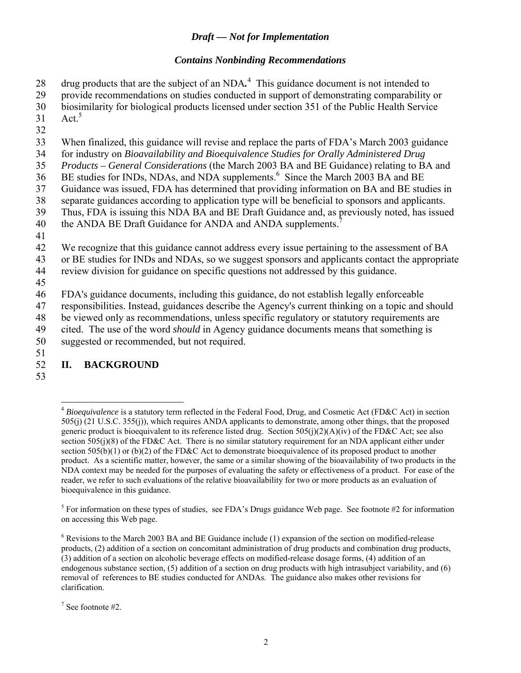#### *Contains Nonbinding Recommendations*

28 drug products that are the subject of an NDA.<sup>4</sup> This guidance document is not intended to

- 29 provide recommendations on studies conducted in support of demonstrating comparability or
- 30 biosimilarity for biological products licensed under section 351 of the Public Health Service 31 Act.<sup>5</sup>
- 32
- 33 When finalized, this guidance will revise and replace the parts of FDA's March 2003 guidance
- 34 for industry on *Bioavailability and Bioequivalence Studies for Orally Administered Drug*
- 35 *Products General Considerations* (the March 2003 BA and BE Guidance) relating to BA and
- 36 BE studies for INDs, NDAs, and NDA supplements.<sup>6</sup> Since the March 2003 BA and BE
- 37 Guidance was issued, FDA has determined that providing information on BA and BE studies in
- 38 separate guidances according to application type will be beneficial to sponsors and applicants.
- 39 Thus, FDA is issuing this NDA BA and BE Draft Guidance and, as previously noted, has issued
- 40 the ANDA BE Draft Guidance for ANDA and ANDA supplements.<sup>7</sup>
- 41
- 42 We recognize that this guidance cannot address every issue pertaining to the assessment of BA 43 or BE studies for INDs and NDAs, so we suggest sponsors and applicants contact the appropriate
- 44 review division for guidance on specific questions not addressed by this guidance.
- 45

46 FDA's guidance documents, including this guidance, do not establish legally enforceable

47 responsibilities. Instead, guidances describe the Agency's current thinking on a topic and should

- 48 be viewed only as recommendations, unless specific regulatory or statutory requirements are
- 49 cited. The use of the word *should* in Agency guidance documents means that something is
- 50 suggested or recommended, but not required.
- 51

#### 52 **II. BACKGROUND**

53

 $\overline{a}$ 

<sup>4</sup>*Bioequivalence* is a statutory term reflected in the Federal Food, Drug, and Cosmetic Act (FD&C Act) in section 505(j) (21 U.S.C. 355(j)), which requires ANDA applicants to demonstrate, among other things, that the proposed generic product is bioequivalent to its reference listed drug. Section  $505(j)(2)(A)(iv)$  of the FD&C Act; see also section 505(j)(8) of the FD&C Act. There is no similar statutory requirement for an NDA applicant either under section 505(b)(1) or (b)(2) of the FD&C Act to demonstrate bioequivalence of its proposed product to another product. As a scientific matter, however, the same or a similar showing of the bioavailability of two products in the NDA context may be needed for the purposes of evaluating the safety or effectiveness of a product. For ease of the reader, we refer to such evaluations of the relative bioavailability for two or more products as an evaluation of bioequivalence in this guidance.

<sup>&</sup>lt;sup>5</sup> For information on these types of studies, see FDA's Drugs guidance Web page. See footnote #2 for information on accessing this Web page.

 $6$  Revisions to the March 2003 BA and BE Guidance include (1) expansion of the section on modified-release products, (2) addition of a section on concomitant administration of drug products and combination drug products, (3) addition of a section on alcoholic beverage effects on modified-release dosage forms, (4) addition of an endogenous substance section, (5) addition of a section on drug products with high intrasubject variability, and (6) removal of references to BE studies conducted for ANDAs. The guidance also makes other revisions for clarification.

 $<sup>7</sup>$  See footnote #2.</sup>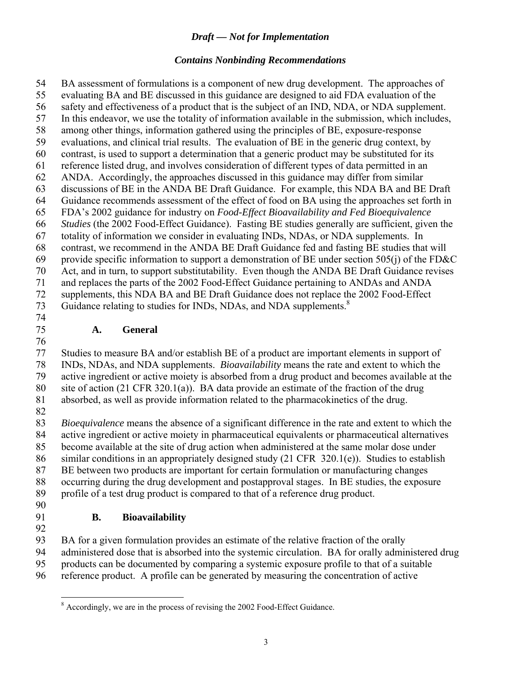#### *Contains Nonbinding Recommendations*

54 BA assessment of formulations is a component of new drug development. The approaches of 55 evaluating BA and BE discussed in this guidance are designed to aid FDA evaluation of the 56 safety and effectiveness of a product that is the subject of an IND, NDA, or NDA supplement. 57 In this endeavor, we use the totality of information available in the submission, which includes, 58 among other things, information gathered using the principles of BE, exposure-response 59 evaluations, and clinical trial results. The evaluation of BE in the generic drug context, by 60 contrast, is used to support a determination that a generic product may be substituted for its 61 reference listed drug, and involves consideration of different types of data permitted in an 62 ANDA. Accordingly, the approaches discussed in this guidance may differ from similar 63 discussions of BE in the ANDA BE Draft Guidance. For example, this NDA BA and BE Draft 64 Guidance recommends assessment of the effect of food on BA using the approaches set forth in 65 FDA's 2002 guidance for industry on *Food-Effect Bioavailability and Fed Bioequivalence*  66 *Studies* (the 2002 Food-Effect Guidance). Fasting BE studies generally are sufficient, given the 67 totality of information we consider in evaluating INDs, NDAs, or NDA supplements. In 68 contrast, we recommend in the ANDA BE Draft Guidance fed and fasting BE studies that will 69 provide specific information to support a demonstration of BE under section 505(j) of the FD&C 70 Act, and in turn, to support substitutability. Even though the ANDA BE Draft Guidance revises 71 and replaces the parts of the 2002 Food-Effect Guidance pertaining to ANDAs and ANDA 72 supplements, this NDA BA and BE Draft Guidance does not replace the 2002 Food-Effect 73 Guidance relating to studies for INDs, NDAs, and NDA supplements.<sup>8</sup> 74

#### 75 **A. General**

77 Studies to measure BA and/or establish BE of a product are important elements in support of 78 INDs, NDAs, and NDA supplements. *Bioavailability* means the rate and extent to which the 79 active ingredient or active moiety is absorbed from a drug product and becomes available at the 80 site of action (21 CFR 320.1(a)). BA data provide an estimate of the fraction of the drug 81 absorbed, as well as provide information related to the pharmacokinetics of the drug.

82 83 *Bioequivalence* means the absence of a significant difference in the rate and extent to which the 84 active ingredient or active moiety in pharmaceutical equivalents or pharmaceutical alternatives 85 become available at the site of drug action when administered at the same molar dose under 86 similar conditions in an appropriately designed study (21 CFR 320.1(e)). Studies to establish 87 BE between two products are important for certain formulation or manufacturing changes 88 occurring during the drug development and postapproval stages. In BE studies, the exposure 89 profile of a test drug product is compared to that of a reference drug product. 90

76

#### 91 **B. Bioavailability**

92 93 BA for a given formulation provides an estimate of the relative fraction of the orally 94 administered dose that is absorbed into the systemic circulation. BA for orally administered drug 95 products can be documented by comparing a systemic exposure profile to that of a suitable 96 reference product. A profile can be generated by measuring the concentration of active

<sup>1</sup> <sup>8</sup> Accordingly, we are in the process of revising the 2002 Food-Effect Guidance.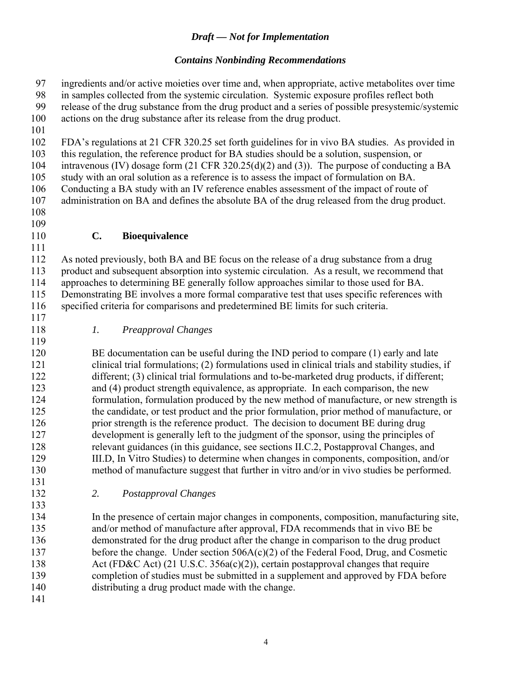#### *Contains Nonbinding Recommendations*

97 ingredients and/or active moieties over time and, when appropriate, active metabolites over time

98 in samples collected from the systemic circulation. Systemic exposure profiles reflect both

99 release of the drug substance from the drug product and a series of possible presystemic/systemic 100 actions on the drug substance after its release from the drug product.

101

102 FDA's regulations at 21 CFR 320.25 set forth guidelines for in vivo BA studies. As provided in

103 this regulation, the reference product for BA studies should be a solution, suspension, or

104 intravenous (IV) dosage form (21 CFR 320.25(d)(2) and (3)). The purpose of conducting a BA 105 study with an oral solution as a reference is to assess the impact of formulation on BA.

106 Conducting a BA study with an IV reference enables assessment of the impact of route of

107 administration on BA and defines the absolute BA of the drug released from the drug product.

108 109

#### 110 **C. Bioequivalence**

111 112 As noted previously, both BA and BE focus on the release of a drug substance from a drug 113 product and subsequent absorption into systemic circulation. As a result, we recommend that 114 approaches to determining BE generally follow approaches similar to those used for BA. 115 Demonstrating BE involves a more formal comparative test that uses specific references with 116 specified criteria for comparisons and predetermined BE limits for such criteria.

117

119

118 *1. Preapproval Changes* 

120 BE documentation can be useful during the IND period to compare (1) early and late 121 clinical trial formulations; (2) formulations used in clinical trials and stability studies, if 122 different; (3) clinical trial formulations and to-be-marketed drug products, if different; 123 and (4) product strength equivalence, as appropriate. In each comparison, the new 124 formulation, formulation produced by the new method of manufacture, or new strength is 125 the candidate, or test product and the prior formulation, prior method of manufacture, or 126 prior strength is the reference product. The decision to document BE during drug 127 development is generally left to the judgment of the sponsor, using the principles of 128 relevant guidances (in this guidance, see sections II.C.2, Postapproval Changes, and 129 III.D, In Vitro Studies) to determine when changes in components, composition, and/or 130 method of manufacture suggest that further in vitro and/or in vivo studies be performed.

131

133

132 *2. Postapproval Changes* 

134 In the presence of certain major changes in components, composition, manufacturing site, 135 and/or method of manufacture after approval, FDA recommends that in vivo BE be 136 demonstrated for the drug product after the change in comparison to the drug product 137 before the change. Under section 506A(c)(2) of the Federal Food, Drug, and Cosmetic 138 Act (FD&C Act) (21 U.S.C. 356a(c)(2)), certain postapproval changes that require 139 completion of studies must be submitted in a supplement and approved by FDA before 140 distributing a drug product made with the change.

141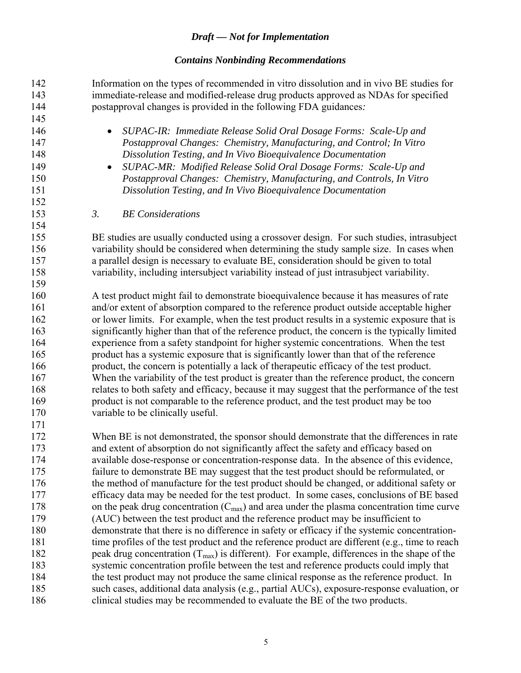#### *Contains Nonbinding Recommendations*

142 Information on the types of recommended in vitro dissolution and in vivo BE studies for 143 immediate-release and modified-release drug products approved as NDAs for specified 144 postapproval changes is provided in the following FDA guidances*:*  145 146 *SUPAC-IR: Immediate Release Solid Oral Dosage Forms: Scale-Up and*  147 *Postapproval Changes: Chemistry, Manufacturing, and Control; In Vitro*  148 *Dissolution Testing, and In Vivo Bioequivalence Documentation*  149 *SUPAC-MR: Modified Release Solid Oral Dosage Forms: Scale-Up and*  150 *Postapproval Changes: Chemistry, Manufacturing, and Controls, In Vitro*  151 *Dissolution Testing, and In Vivo Bioequivalence Documentation*  152 153 *3. BE Considerations*  154 155 BE studies are usually conducted using a crossover design. For such studies, intrasubject 156 variability should be considered when determining the study sample size. In cases when 157 a parallel design is necessary to evaluate BE, consideration should be given to total 158 variability, including intersubject variability instead of just intrasubject variability. 159 160 A test product might fail to demonstrate bioequivalence because it has measures of rate 161 and/or extent of absorption compared to the reference product outside acceptable higher 162 or lower limits. For example, when the test product results in a systemic exposure that is 163 significantly higher than that of the reference product, the concern is the typically limited 164 experience from a safety standpoint for higher systemic concentrations. When the test 165 product has a systemic exposure that is significantly lower than that of the reference 166 product, the concern is potentially a lack of therapeutic efficacy of the test product. 167 When the variability of the test product is greater than the reference product, the concern 168 relates to both safety and efficacy, because it may suggest that the performance of the test 169 product is not comparable to the reference product, and the test product may be too 170 variable to be clinically useful. 171 172 When BE is not demonstrated, the sponsor should demonstrate that the differences in rate 173 and extent of absorption do not significantly affect the safety and efficacy based on 174 available dose-response or concentration-response data. In the absence of this evidence, 175 failure to demonstrate BE may suggest that the test product should be reformulated, or 176 the method of manufacture for the test product should be changed, or additional safety or 177 efficacy data may be needed for the test product. In some cases, conclusions of BE based 178 on the peak drug concentration  $(C_{\text{max}})$  and area under the plasma concentration time curve 179 (AUC) between the test product and the reference product may be insufficient to 180 demonstrate that there is no difference in safety or efficacy if the systemic concentration-181 time profiles of the test product and the reference product are different (e.g., time to reach 182 peak drug concentration  $(T_{\text{max}})$  is different). For example, differences in the shape of the 183 systemic concentration profile between the test and reference products could imply that 184 the test product may not produce the same clinical response as the reference product. In 185 such cases, additional data analysis (e.g., partial AUCs), exposure-response evaluation, or 186 clinical studies may be recommended to evaluate the BE of the two products.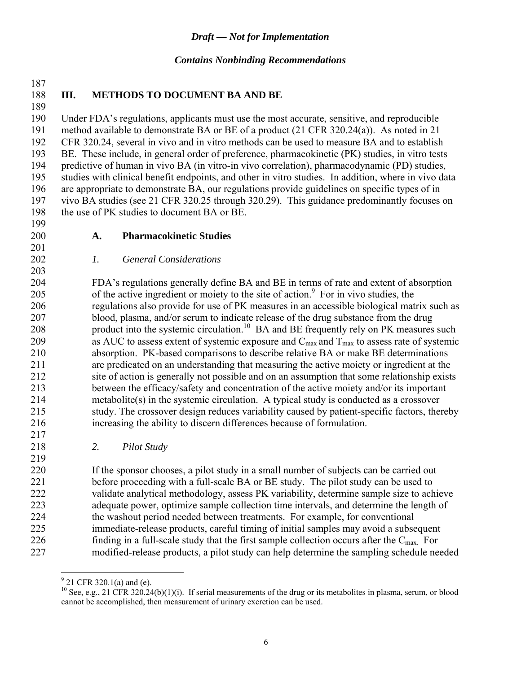#### *Contains Nonbinding Recommendations*

#### 187

#### 188 **III. METHODS TO DOCUMENT BA AND BE**  189

190 Under FDA's regulations, applicants must use the most accurate, sensitive, and reproducible 191 method available to demonstrate BA or BE of a product (21 CFR 320.24(a)). As noted in 21 192 CFR 320.24, several in vivo and in vitro methods can be used to measure BA and to establish 193 BE. These include, in general order of preference, pharmacokinetic (PK) studies, in vitro tests 194 predictive of human in vivo BA (in vitro-in vivo correlation), pharmacodynamic (PD) studies, 195 studies with clinical benefit endpoints, and other in vitro studies. In addition, where in vivo data 196 are appropriate to demonstrate BA, our regulations provide guidelines on specific types of in 197 vivo BA studies (see 21 CFR 320.25 through 320.29). This guidance predominantly focuses on 198 the use of PK studies to document BA or BE.

199

201

203

219

#### 200 **A. Pharmacokinetic Studies**

202 *1. General Considerations* 

204 FDA's regulations generally define BA and BE in terms of rate and extent of absorption 205 of the active ingredient or moiety to the site of action.<sup>9</sup> For in vivo studies, the 206 regulations also provide for use of PK measures in an accessible biological matrix such as 207 blood, plasma, and/or serum to indicate release of the drug substance from the drug 208 product into the systemic circulation.<sup>10</sup> BA and BE frequently rely on PK measures such 209 as AUC to assess extent of systemic exposure and  $C_{\text{max}}$  and  $T_{\text{max}}$  to assess rate of systemic 210 absorption. PK-based comparisons to describe relative BA or make BE determinations 211 are predicated on an understanding that measuring the active moiety or ingredient at the 212 site of action is generally not possible and on an assumption that some relationship exists 213 between the efficacy/safety and concentration of the active moiety and/or its important 214 metabolite(s) in the systemic circulation. A typical study is conducted as a crossover 215 study. The crossover design reduces variability caused by patient-specific factors, thereby 216 increasing the ability to discern differences because of formulation.

217 218 *2. Pilot Study* 

220 If the sponsor chooses, a pilot study in a small number of subjects can be carried out 221 before proceeding with a full-scale BA or BE study. The pilot study can be used to 222 validate analytical methodology, assess PK variability, determine sample size to achieve 223 adequate power, optimize sample collection time intervals, and determine the length of 224 the washout period needed between treatments. For example, for conventional 225 immediate-release products, careful timing of initial samples may avoid a subsequent 226 finding in a full-scale study that the first sample collection occurs after the  $C_{\text{max}}$ . For 227 modified-release products, a pilot study can help determine the sampling schedule needed

<sup>&</sup>lt;u>.</u>  $9^9$  21 CFR 320.1(a) and (e).

<sup>&</sup>lt;sup>10</sup> See, e.g., 21 CFR 320.24(b)(1)(i). If serial measurements of the drug or its metabolites in plasma, serum, or blood cannot be accomplished, then measurement of urinary excretion can be used.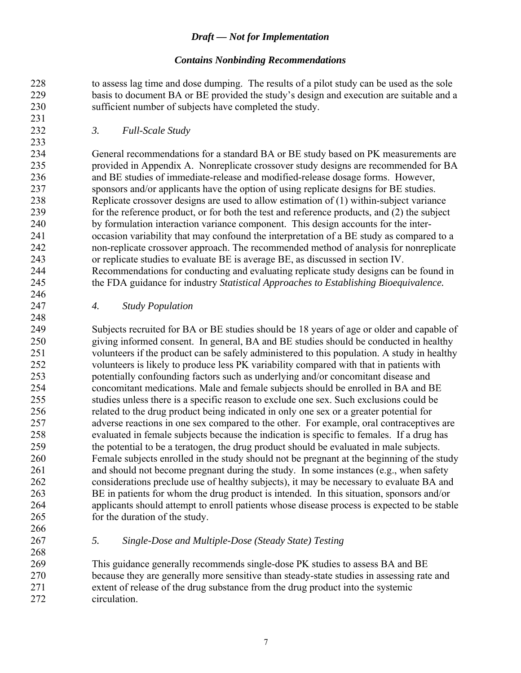#### *Contains Nonbinding Recommendations*

228 to assess lag time and dose dumping. The results of a pilot study can be used as the sole 229 basis to document BA or BE provided the study's design and execution are suitable and a 230 sufficient number of subjects have completed the study.

232 *3. Full-Scale Study* 

231

233

246

248

234 General recommendations for a standard BA or BE study based on PK measurements are 235 provided in Appendix A. Nonreplicate crossover study designs are recommended for BA 236 and BE studies of immediate-release and modified-release dosage forms. However, 237 sponsors and/or applicants have the option of using replicate designs for BE studies. 238 Replicate crossover designs are used to allow estimation of (1) within-subject variance 239 for the reference product, or for both the test and reference products, and (2) the subject 240 by formulation interaction variance component. This design accounts for the inter-241 occasion variability that may confound the interpretation of a BE study as compared to a 242 non-replicate crossover approach. The recommended method of analysis for nonreplicate 243 or replicate studies to evaluate BE is average BE, as discussed in section IV. 244 Recommendations for conducting and evaluating replicate study designs can be found in 245 the FDA guidance for industry *Statistical Approaches to Establishing Bioequivalence.* 

247 *4. Study Population* 

249 Subjects recruited for BA or BE studies should be 18 years of age or older and capable of 250 giving informed consent. In general, BA and BE studies should be conducted in healthy 251 volunteers if the product can be safely administered to this population. A study in healthy 252 volunteers is likely to produce less PK variability compared with that in patients with 253 potentially confounding factors such as underlying and/or concomitant disease and 254 concomitant medications. Male and female subjects should be enrolled in BA and BE 255 studies unless there is a specific reason to exclude one sex. Such exclusions could be 256 related to the drug product being indicated in only one sex or a greater potential for 257 adverse reactions in one sex compared to the other. For example, oral contraceptives are 258 evaluated in female subjects because the indication is specific to females. If a drug has 259 the potential to be a teratogen, the drug product should be evaluated in male subjects. 260 Female subjects enrolled in the study should not be pregnant at the beginning of the study 261 and should not become pregnant during the study. In some instances (e.g., when safety 262 considerations preclude use of healthy subjects), it may be necessary to evaluate BA and 263 BE in patients for whom the drug product is intended. In this situation, sponsors and/or 264 applicants should attempt to enroll patients whose disease process is expected to be stable 265 for the duration of the study.

266

268

267 *5. Single-Dose and Multiple-Dose (Steady State) Testing* 

269 This guidance generally recommends single-dose PK studies to assess BA and BE 270 because they are generally more sensitive than steady-state studies in assessing rate and 271 extent of release of the drug substance from the drug product into the systemic 272 circulation.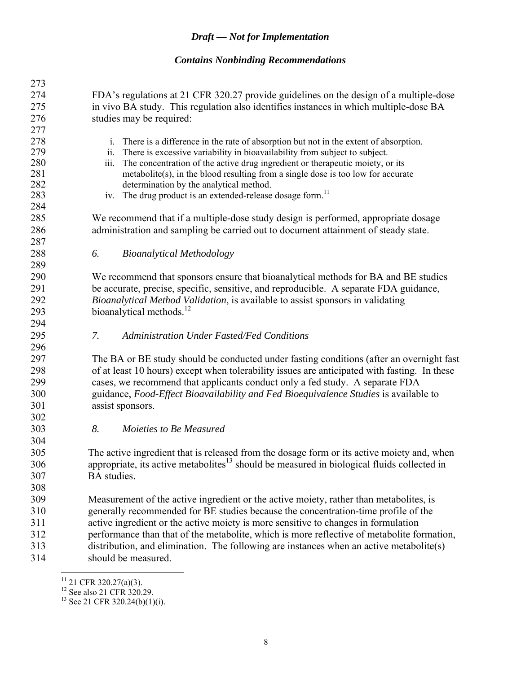| 273 |                                                                                                          |
|-----|----------------------------------------------------------------------------------------------------------|
| 274 | FDA's regulations at 21 CFR 320.27 provide guidelines on the design of a multiple-dose                   |
| 275 | in vivo BA study. This regulation also identifies instances in which multiple-dose BA                    |
| 276 | studies may be required:                                                                                 |
| 277 |                                                                                                          |
| 278 | There is a difference in the rate of absorption but not in the extent of absorption.<br>$\mathbf{i}$ .   |
| 279 | There is excessive variability in bioavailability from subject to subject.<br>$\overline{\mathbf{11}}$ . |
| 280 | The concentration of the active drug ingredient or therapeutic moiety, or its<br>iii.                    |
| 281 | metabolite(s), in the blood resulting from a single dose is too low for accurate                         |
| 282 | determination by the analytical method.                                                                  |
| 283 | iv. The drug product is an extended-release dosage form. <sup>11</sup>                                   |
| 284 |                                                                                                          |
| 285 | We recommend that if a multiple-dose study design is performed, appropriate dosage                       |
| 286 | administration and sampling be carried out to document attainment of steady state.                       |
| 287 |                                                                                                          |
| 288 | 6.<br><b>Bioanalytical Methodology</b>                                                                   |
| 289 |                                                                                                          |
| 290 | We recommend that sponsors ensure that bioanalytical methods for BA and BE studies                       |
| 291 | be accurate, precise, specific, sensitive, and reproducible. A separate FDA guidance,                    |
| 292 | Bioanalytical Method Validation, is available to assist sponsors in validating                           |
| 293 | bioanalytical methods. <sup>12</sup>                                                                     |
| 294 |                                                                                                          |
| 295 | 7.<br><b>Administration Under Fasted/Fed Conditions</b>                                                  |
| 296 |                                                                                                          |
| 297 | The BA or BE study should be conducted under fasting conditions (after an overnight fast                 |
| 298 | of at least 10 hours) except when tolerability issues are anticipated with fasting. In these             |
| 299 | cases, we recommend that applicants conduct only a fed study. A separate FDA                             |
| 300 | guidance, Food-Effect Bioavailability and Fed Bioequivalence Studies is available to                     |
| 301 | assist sponsors.                                                                                         |
| 302 |                                                                                                          |
| 303 | 8.<br>Moieties to Be Measured                                                                            |
| 304 |                                                                                                          |
|     |                                                                                                          |
| 305 | The active ingredient that is released from the dosage form or its active moiety and, when               |
| 306 | appropriate, its active metabolites <sup>13</sup> should be measured in biological fluids collected in   |
| 307 | BA studies.                                                                                              |
| 308 |                                                                                                          |
| 309 | Measurement of the active ingredient or the active moiety, rather than metabolites, is                   |
| 310 | generally recommended for BE studies because the concentration-time profile of the                       |
| 311 | active ingredient or the active moiety is more sensitive to changes in formulation                       |
| 312 | performance than that of the metabolite, which is more reflective of metabolite formation,               |
| 313 | distribution, and elimination. The following are instances when an active metabolite(s)                  |
| 314 | should be measured.                                                                                      |
|     |                                                                                                          |

 $11$  21 CFR 320.27(a)(3).

<sup>&</sup>lt;sup>12</sup> See also 21 CFR 320.29.

 $13$  See 21 CFR 320.24(b)(1)(i).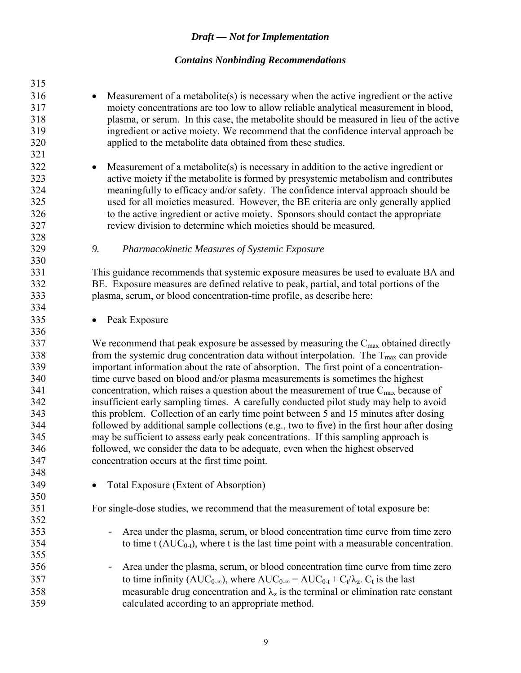| 315 |                                                                                                                                                              |
|-----|--------------------------------------------------------------------------------------------------------------------------------------------------------------|
| 316 | Measurement of a metabolite(s) is necessary when the active ingredient or the active<br>$\bullet$                                                            |
| 317 | moiety concentrations are too low to allow reliable analytical measurement in blood,                                                                         |
| 318 | plasma, or serum. In this case, the metabolite should be measured in lieu of the active                                                                      |
| 319 | ingredient or active moiety. We recommend that the confidence interval approach be                                                                           |
| 320 | applied to the metabolite data obtained from these studies.                                                                                                  |
| 321 |                                                                                                                                                              |
| 322 | Measurement of a metabolite(s) is necessary in addition to the active ingredient or                                                                          |
| 323 | $\bullet$                                                                                                                                                    |
|     | active moiety if the metabolite is formed by presystemic metabolism and contributes                                                                          |
| 324 | meaningfully to efficacy and/or safety. The confidence interval approach should be                                                                           |
| 325 | used for all moieties measured. However, the BE criteria are only generally applied                                                                          |
| 326 | to the active ingredient or active moiety. Sponsors should contact the appropriate                                                                           |
| 327 | review division to determine which moieties should be measured.                                                                                              |
| 328 |                                                                                                                                                              |
| 329 | 9.<br><b>Pharmacokinetic Measures of Systemic Exposure</b>                                                                                                   |
| 330 |                                                                                                                                                              |
| 331 | This guidance recommends that systemic exposure measures be used to evaluate BA and                                                                          |
| 332 | BE. Exposure measures are defined relative to peak, partial, and total portions of the                                                                       |
| 333 | plasma, serum, or blood concentration-time profile, as describe here:                                                                                        |
| 334 |                                                                                                                                                              |
| 335 | Peak Exposure                                                                                                                                                |
| 336 |                                                                                                                                                              |
| 337 | We recommend that peak exposure be assessed by measuring the $C_{\text{max}}$ obtained directly                                                              |
| 338 | from the systemic drug concentration data without interpolation. The $T_{\text{max}}$ can provide                                                            |
| 339 | important information about the rate of absorption. The first point of a concentration-                                                                      |
| 340 | time curve based on blood and/or plasma measurements is sometimes the highest                                                                                |
| 341 | concentration, which raises a question about the measurement of true $C_{\text{max}}$ because of                                                             |
| 342 | insufficient early sampling times. A carefully conducted pilot study may help to avoid                                                                       |
| 343 | this problem. Collection of an early time point between 5 and 15 minutes after dosing                                                                        |
| 344 | followed by additional sample collections (e.g., two to five) in the first hour after dosing                                                                 |
| 345 | may be sufficient to assess early peak concentrations. If this sampling approach is                                                                          |
| 346 | followed, we consider the data to be adequate, even when the highest observed                                                                                |
| 347 | concentration occurs at the first time point.                                                                                                                |
| 348 |                                                                                                                                                              |
| 349 | Total Exposure (Extent of Absorption)                                                                                                                        |
| 350 |                                                                                                                                                              |
| 351 | For single-dose studies, we recommend that the measurement of total exposure be:                                                                             |
|     |                                                                                                                                                              |
| 352 |                                                                                                                                                              |
| 353 | Area under the plasma, serum, or blood concentration time curve from time zero                                                                               |
| 354 | to time t $(AUC_{0-t})$ , where t is the last time point with a measurable concentration.                                                                    |
| 355 |                                                                                                                                                              |
| 356 | Area under the plasma, serum, or blood concentration time curve from time zero                                                                               |
| 357 | to time infinity (AUC <sub>0-∞</sub> ), where AUC <sub>0-∞</sub> = AUC <sub>0-t</sub> + C <sub>t</sub> / $\lambda$ <sub>z</sub> . C <sub>t</sub> is the last |
| 358 | measurable drug concentration and $\lambda_z$ is the terminal or elimination rate constant                                                                   |
| 359 | calculated according to an appropriate method.                                                                                                               |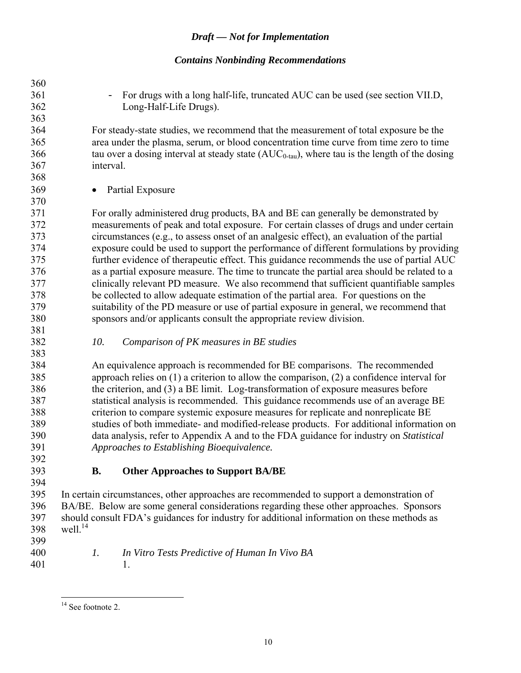#### *Contains Nonbinding Recommendations*

| 360 |                                                                                                    |
|-----|----------------------------------------------------------------------------------------------------|
| 361 | For drugs with a long half-life, truncated AUC can be used (see section VII.D,                     |
| 362 | Long-Half-Life Drugs).                                                                             |
| 363 |                                                                                                    |
| 364 | For steady-state studies, we recommend that the measurement of total exposure be the               |
| 365 | area under the plasma, serum, or blood concentration time curve from time zero to time             |
| 366 | tau over a dosing interval at steady state $(AUC_{0-tau})$ , where tau is the length of the dosing |
| 367 | interval.                                                                                          |
| 368 |                                                                                                    |
| 369 | Partial Exposure                                                                                   |
| 370 |                                                                                                    |
| 371 | For orally administered drug products, BA and BE can generally be demonstrated by                  |
| 372 | measurements of peak and total exposure. For certain classes of drugs and under certain            |
| 373 | circumstances (e.g., to assess onset of an analgesic effect), an evaluation of the partial         |
| 374 | exposure could be used to support the performance of different formulations by providing           |
| 375 | further evidence of therapeutic effect. This guidance recommends the use of partial AUC            |
| 376 | as a partial exposure measure. The time to truncate the partial area should be related to a        |
| 377 | clinically relevant PD measure. We also recommend that sufficient quantifiable samples             |
| 378 | be collected to allow adequate estimation of the partial area. For questions on the                |
| 379 | suitability of the PD measure or use of partial exposure in general, we recommend that             |
| 380 | sponsors and/or applicants consult the appropriate review division.                                |
| 381 |                                                                                                    |
| 382 | 10.<br>Comparison of PK measures in BE studies                                                     |
| 383 |                                                                                                    |
| 384 | An equivalence approach is recommended for BE comparisons. The recommended                         |
| 385 | approach relies on $(1)$ a criterion to allow the comparison, $(2)$ a confidence interval for      |
| 386 | the criterion, and (3) a BE limit. Log-transformation of exposure measures before                  |
| 387 | statistical analysis is recommended. This guidance recommends use of an average BE                 |
| 388 | criterion to compare systemic exposure measures for replicate and nonreplicate BE                  |
| 389 | studies of both immediate- and modified-release products. For additional information on            |
| 390 | data analysis, refer to Appendix A and to the FDA guidance for industry on Statistical             |
| 391 | Approaches to Establishing Bioequivalence.                                                         |
| 392 |                                                                                                    |
| 393 | <b>B.</b><br><b>Other Approaches to Support BA/BE</b>                                              |
| 394 |                                                                                                    |
| 395 | In certain circumstances, other approaches are recommended to support a demonstration of           |
| 396 | BA/BE. Below are some general considerations regarding these other approaches. Sponsors            |
| 397 | should consult FDA's guidances for industry for additional information on these methods as         |
| 398 | well. <sup>14</sup>                                                                                |

399

400 *1. In Vitro Tests Predictive of Human In Vivo BA*  401 1.

 $\overline{a}$ <sup>14</sup> See footnote 2.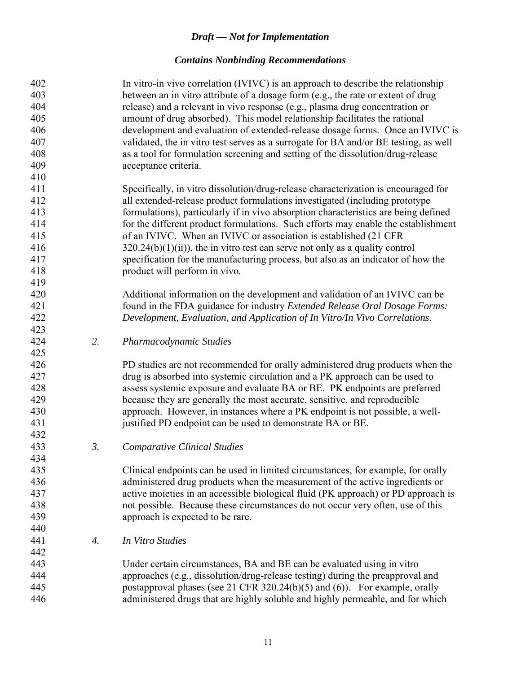| 402 |    | In vitro-in vivo correlation (IVIVC) is an approach to describe the relationship     |
|-----|----|--------------------------------------------------------------------------------------|
| 403 |    | between an in vitro attribute of a dosage form (e.g., the rate or extent of drug     |
| 404 |    | release) and a relevant in vivo response (e.g., plasma drug concentration or         |
| 405 |    | amount of drug absorbed). This model relationship facilitates the rational           |
| 406 |    | development and evaluation of extended-release dosage forms. Once an IVIVC is        |
| 407 |    | validated, the in vitro test serves as a surrogate for BA and/or BE testing, as well |
| 408 |    | as a tool for formulation screening and setting of the dissolution/drug-release      |
| 409 |    | acceptance criteria.                                                                 |
| 410 |    |                                                                                      |
| 411 |    | Specifically, in vitro dissolution/drug-release characterization is encouraged for   |
| 412 |    | all extended-release product formulations investigated (including prototype          |
| 413 |    | formulations), particularly if in vivo absorption characteristics are being defined  |
| 414 |    | for the different product formulations. Such efforts may enable the establishment    |
| 415 |    | of an IVIVC. When an IVIVC or association is established (21 CFR                     |
| 416 |    | $320.24(b)(1)(ii)$ , the in vitro test can serve not only as a quality control       |
| 417 |    | specification for the manufacturing process, but also as an indicator of how the     |
| 418 |    | product will perform in vivo.                                                        |
| 419 |    |                                                                                      |
| 420 |    | Additional information on the development and validation of an IVIVC can be          |
| 421 |    | found in the FDA guidance for industry Extended Release Oral Dosage Forms:           |
| 422 |    | Development, Evaluation, and Application of In Vitro/In Vivo Correlations.           |
| 423 |    |                                                                                      |
| 424 | 2. | Pharmacodynamic Studies                                                              |
| 425 |    |                                                                                      |
| 426 |    | PD studies are not recommended for orally administered drug products when the        |
| 427 |    | drug is absorbed into systemic circulation and a PK approach can be used to          |
| 428 |    | assess systemic exposure and evaluate BA or BE. PK endpoints are preferred           |
| 429 |    | because they are generally the most accurate, sensitive, and reproducible            |
| 430 |    | approach. However, in instances where a PK endpoint is not possible, a well-         |
| 431 |    | justified PD endpoint can be used to demonstrate BA or BE.                           |
| 432 |    |                                                                                      |
| 433 | 3. | <b>Comparative Clinical Studies</b>                                                  |
| 434 |    |                                                                                      |
| 435 |    | Clinical endpoints can be used in limited circumstances, for example, for orally     |
| 436 |    | administered drug products when the measurement of the active ingredients or         |
| 437 |    | active moieties in an accessible biological fluid (PK approach) or PD approach is    |
| 438 |    | not possible. Because these circumstances do not occur very often, use of this       |
| 439 |    | approach is expected to be rare.                                                     |
| 440 |    |                                                                                      |
| 441 | 4. | In Vitro Studies                                                                     |
| 442 |    |                                                                                      |
| 443 |    | Under certain circumstances, BA and BE can be evaluated using in vitro               |
| 444 |    | approaches (e.g., dissolution/drug-release testing) during the preapproval and       |
| 445 |    | postapproval phases (see 21 CFR 320.24(b)(5) and (6)). For example, orally           |
| 446 |    | administered drugs that are highly soluble and highly permeable, and for which       |
|     |    |                                                                                      |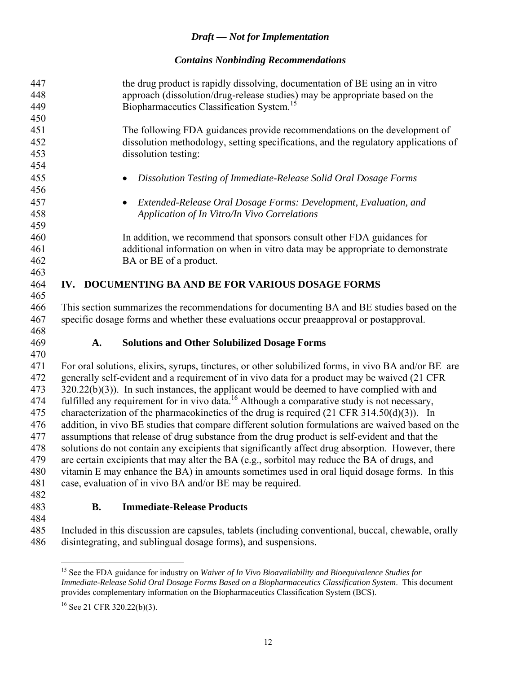#### *Contains Nonbinding Recommendations*

<span id="page-14-0"></span>

|           | the drug product is rapidly dissolving, documentation of BE using an in vitro                                                                                                                     |
|-----------|---------------------------------------------------------------------------------------------------------------------------------------------------------------------------------------------------|
|           | approach (dissolution/drug-release studies) may be appropriate based on the                                                                                                                       |
|           | Biopharmaceutics Classification System. <sup>15</sup>                                                                                                                                             |
|           |                                                                                                                                                                                                   |
|           | The following FDA guidances provide recommendations on the development of                                                                                                                         |
|           | dissolution methodology, setting specifications, and the regulatory applications of                                                                                                               |
|           | dissolution testing:                                                                                                                                                                              |
|           |                                                                                                                                                                                                   |
|           | Dissolution Testing of Immediate-Release Solid Oral Dosage Forms                                                                                                                                  |
|           |                                                                                                                                                                                                   |
|           | Extended-Release Oral Dosage Forms: Development, Evaluation, and<br>٠                                                                                                                             |
|           | Application of In Vitro/In Vivo Correlations                                                                                                                                                      |
|           |                                                                                                                                                                                                   |
|           | In addition, we recommend that sponsors consult other FDA guidances for                                                                                                                           |
|           | additional information on when in vitro data may be appropriate to demonstrate                                                                                                                    |
|           | BA or BE of a product.                                                                                                                                                                            |
|           |                                                                                                                                                                                                   |
|           | IV. DOCUMENTING BA AND BE FOR VARIOUS DOSAGE FORMS                                                                                                                                                |
|           | This section summarizes the recommendations for documenting BA and BE studies based on the                                                                                                        |
|           | specific dosage forms and whether these evaluations occur preaapproval or postapproval.                                                                                                           |
|           |                                                                                                                                                                                                   |
|           | <b>Solutions and Other Solubilized Dosage Forms</b>                                                                                                                                               |
|           |                                                                                                                                                                                                   |
|           | For oral solutions, elixirs, syrups, tinctures, or other solubilized forms, in vivo BA and/or BE are                                                                                              |
|           | generally self-evident and a requirement of in vivo data for a product may be waived (21 CFR                                                                                                      |
|           | 320.22(b)(3)). In such instances, the applicant would be deemed to have complied with and                                                                                                         |
|           |                                                                                                                                                                                                   |
|           |                                                                                                                                                                                                   |
|           | fulfilled any requirement for in vivo data. <sup>16</sup> Although a comparative study is not necessary,                                                                                          |
|           | characterization of the pharmacokinetics of the drug is required $(21 \text{ CFR } 314.50(d)(3))$ . In                                                                                            |
|           | addition, in vivo BE studies that compare different solution formulations are waived based on the                                                                                                 |
|           | assumptions that release of drug substance from the drug product is self-evident and that the                                                                                                     |
|           | solutions do not contain any excipients that significantly affect drug absorption. However, there<br>are certain excipients that may alter the BA (e.g., sorbitol may reduce the BA of drugs, and |
|           | vitamin E may enhance the BA) in amounts sometimes used in oral liquid dosage forms. In this                                                                                                      |
|           | case, evaluation of in vivo BA and/or BE may be required.                                                                                                                                         |
|           |                                                                                                                                                                                                   |
| <b>B.</b> | <b>Immediate-Release Products</b>                                                                                                                                                                 |
|           | A.                                                                                                                                                                                                |

485 Included in this discussion are capsules, tablets (including conventional, buccal, chewable, orally 486 disintegrating, and sublingual dosage forms), and suspensions.

<sup>1</sup> <sup>15</sup> See the FDA guidance for industry on *Waiver of In Vivo Bioavailability and Bioequivalence Studies for Immediate-Release Solid Oral Dosage Forms Based on a Biopharmaceutics Classification System*. This document provides complementary information on the Biopharmaceutics Classification System (BCS).

<sup>16</sup> See 21 CFR 320.22(b)(3).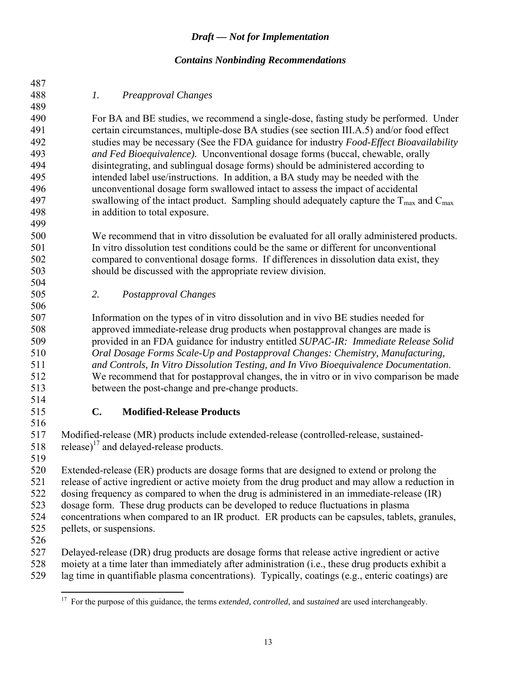| 487 |                                                                                                                |
|-----|----------------------------------------------------------------------------------------------------------------|
| 488 | <b>Preapproval Changes</b><br>1.                                                                               |
| 489 |                                                                                                                |
| 490 | For BA and BE studies, we recommend a single-dose, fasting study be performed. Under                           |
| 491 | certain circumstances, multiple-dose BA studies (see section III.A.5) and/or food effect                       |
| 492 | studies may be necessary (See the FDA guidance for industry Food-Effect Bioavailability                        |
| 493 | and Fed Bioequivalence). Unconventional dosage forms (buccal, chewable, orally                                 |
| 494 | disintegrating, and sublingual dosage forms) should be administered according to                               |
| 495 | intended label use/instructions. In addition, a BA study may be needed with the                                |
| 496 | unconventional dosage form swallowed intact to assess the impact of accidental                                 |
| 497 | swallowing of the intact product. Sampling should adequately capture the $T_{\text{max}}$ and $C_{\text{max}}$ |
| 498 | in addition to total exposure.                                                                                 |
| 499 |                                                                                                                |
| 500 | We recommend that in vitro dissolution be evaluated for all orally administered products.                      |
| 501 | In vitro dissolution test conditions could be the same or different for unconventional                         |
| 502 | compared to conventional dosage forms. If differences in dissolution data exist, they                          |
| 503 | should be discussed with the appropriate review division.                                                      |
| 504 |                                                                                                                |
| 505 | 2.<br>Postapproval Changes                                                                                     |
| 506 |                                                                                                                |
| 507 | Information on the types of in vitro dissolution and in vivo BE studies needed for                             |
| 508 | approved immediate-release drug products when postapproval changes are made is                                 |
| 509 | provided in an FDA guidance for industry entitled SUPAC-IR: Immediate Release Solid                            |
| 510 | Oral Dosage Forms Scale-Up and Postapproval Changes: Chemistry, Manufacturing,                                 |
| 511 | and Controls, In Vitro Dissolution Testing, and In Vivo Bioequivalence Documentation.                          |
| 512 | We recommend that for postapproval changes, the in vitro or in vivo comparison be made                         |
| 513 | between the post-change and pre-change products.                                                               |
| 514 |                                                                                                                |
| 515 | $C_{\bullet}$<br><b>Modified-Release Products</b>                                                              |
| 516 |                                                                                                                |
| 517 | Modified-release (MR) products include extended-release (controlled-release, sustained-                        |
| 518 | release) $17$ and delayed-release products.                                                                    |
| 519 |                                                                                                                |
| 520 | Extended-release (ER) products are dosage forms that are designed to extend or prolong the                     |
| 521 | release of active ingredient or active moiety from the drug product and may allow a reduction in               |
| 522 | dosing frequency as compared to when the drug is administered in an immediate-release (IR)                     |
| 523 | dosage form. These drug products can be developed to reduce fluctuations in plasma                             |
| 524 | concentrations when compared to an IR product. ER products can be capsules, tablets, granules,                 |
| 525 | pellets, or suspensions.                                                                                       |
| 526 |                                                                                                                |
| 527 | Delayed-release (DR) drug products are dosage forms that release active ingredient or active                   |
| 528 | moiety at a time later than immediately after administration (i.e., these drug products exhibit a              |
| 529 | lag time in quantifiable plasma concentrations). Typically, coatings (e.g., enteric coatings) are              |

 $\overline{a}$ 17 For the purpose of this guidance, the terms *extended*, *controlled*, and *sustained* are used interchangeably.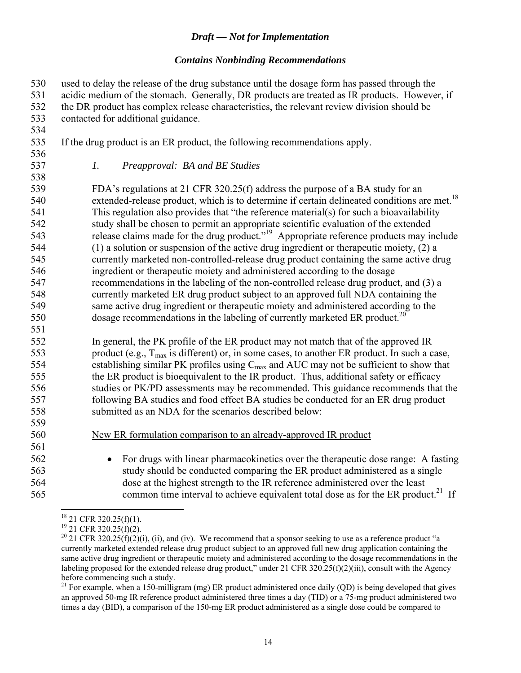#### *Contains Nonbinding Recommendations*

530 used to delay the release of the drug substance until the dosage form has passed through the 531 acidic medium of the stomach. Generally, DR products are treated as IR products. However, if 532 the DR product has complex release characteristics, the relevant review division should be 533 contacted for additional guidance.

- 535 If the drug product is an ER product, the following recommendations apply.
- 536

538

551

559

561

1

534

537 *1. Preapproval: BA and BE Studies* 

539 FDA's regulations at 21 CFR 320.25(f) address the purpose of a BA study for an 540 extended-release product, which is to determine if certain delineated conditions are met.<sup>18</sup> 541 This regulation also provides that "the reference material(s) for such a bioavailability 542 study shall be chosen to permit an appropriate scientific evaluation of the extended 543 release claims made for the drug product."19 Appropriate reference products may include 544 (1) a solution or suspension of the active drug ingredient or therapeutic moiety, (2) a 545 currently marketed non-controlled-release drug product containing the same active drug 546 ingredient or therapeutic moiety and administered according to the dosage 547 recommendations in the labeling of the non-controlled release drug product, and (3) a 548 currently marketed ER drug product subject to an approved full NDA containing the 549 same active drug ingredient or therapeutic moiety and administered according to the 550 dosage recommendations in the labeling of currently marketed ER product.<sup>20</sup>

552 In general, the PK profile of the ER product may not match that of the approved IR 553 product (e.g.,  $T_{\text{max}}$  is different) or, in some cases, to another ER product. In such a case,<br>554 establishing similar PK profiles using  $C_{\text{max}}$  and AUC may not be sufficient to show that establishing similar PK profiles using  $C_{\text{max}}$  and AUC may not be sufficient to show that 555 the ER product is bioequivalent to the IR product. Thus, additional safety or efficacy 556 studies or PK/PD assessments may be recommended. This guidance recommends that the 557 following BA studies and food effect BA studies be conducted for an ER drug product 558 submitted as an NDA for the scenarios described below:

560 New ER formulation comparison to an already-approved IR product

562 For drugs with linear pharmacokinetics over the therapeutic dose range: A fasting 563 study should be conducted comparing the ER product administered as a single 564 dose at the highest strength to the IR reference administered over the least 565 common time interval to achieve equivalent total dose as for the ER product.<sup>21</sup> If

<sup>21</sup> For example, when a 150-milligram (mg) ER product administered once daily (QD) is being developed that gives an approved 50-mg IR reference product administered three times a day (TID) or a 75-mg product administered two times a day (BID), a comparison of the 150-mg ER product administered as a single dose could be compared to

 $18$  21 CFR 320.25(f)(1).

<sup>&</sup>lt;sup>19</sup> 21 CFR 320.25(f)(2).

<sup>&</sup>lt;sup>20</sup> 21 CFR 320.25(f)(2)(i), (ii), and (iv). We recommend that a sponsor seeking to use as a reference product "a currently marketed extended release drug product subject to an approved full new drug application containing the same active drug ingredient or therapeutic moiety and administered according to the dosage recommendations in the labeling proposed for the extended release drug product," under 21 CFR 320.25(f)(2)(iii), consult with the Agency before commencing such a study.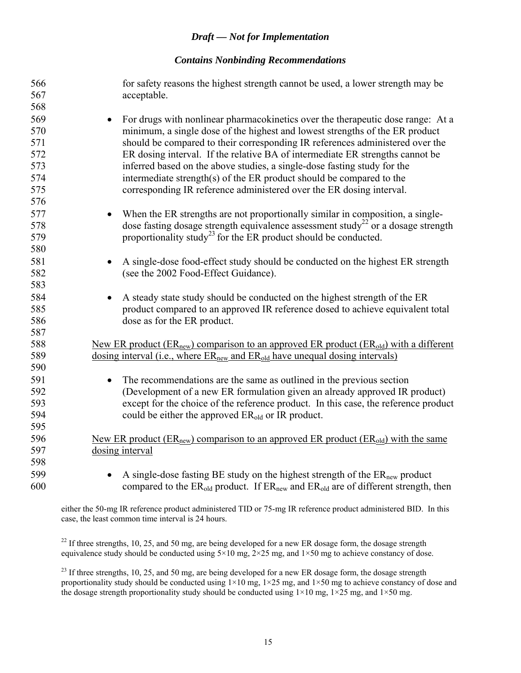#### *Contains Nonbinding Recommendations*

| 566<br>567 | for safety reasons the highest strength cannot be used, a lower strength may be<br>acceptable.                        |
|------------|-----------------------------------------------------------------------------------------------------------------------|
| 568        |                                                                                                                       |
| 569        | For drugs with nonlinear pharmacokinetics over the therapeutic dose range: At a                                       |
| 570        | minimum, a single dose of the highest and lowest strengths of the ER product                                          |
| 571        | should be compared to their corresponding IR references administered over the                                         |
| 572        | ER dosing interval. If the relative BA of intermediate ER strengths cannot be                                         |
| 573        | inferred based on the above studies, a single-dose fasting study for the                                              |
| 574        | intermediate strength(s) of the ER product should be compared to the                                                  |
| 575        | corresponding IR reference administered over the ER dosing interval.                                                  |
| 576        |                                                                                                                       |
| 577        | When the ER strengths are not proportionally similar in composition, a single-                                        |
| 578        | dose fasting dosage strength equivalence assessment study <sup>22</sup> or a dosage strength                          |
| 579        | proportionality study <sup>23</sup> for the ER product should be conducted.                                           |
| 580        |                                                                                                                       |
| 581        | A single-dose food-effect study should be conducted on the highest ER strength<br>$\bullet$                           |
| 582        | (see the 2002 Food-Effect Guidance).                                                                                  |
| 583        |                                                                                                                       |
| 584        | A steady state study should be conducted on the highest strength of the ER                                            |
| 585        | product compared to an approved IR reference dosed to achieve equivalent total                                        |
| 586        | dose as for the ER product.                                                                                           |
| 587        |                                                                                                                       |
| 588        | New ER product $(ER_{new})$ comparison to an approved ER product $(ER_{old})$ with a different                        |
| 589        | dosing interval (i.e., where $ER_{new}$ and $ER_{old}$ have unequal dosing intervals)                                 |
| 590        |                                                                                                                       |
| 591        | The recommendations are the same as outlined in the previous section<br>$\bullet$                                     |
| 592        | (Development of a new ER formulation given an already approved IR product)                                            |
| 593        | except for the choice of the reference product. In this case, the reference product                                   |
| 594        | could be either the approved ER <sub>old</sub> or IR product.                                                         |
| 595        |                                                                                                                       |
| 596        | <u>New ER product (ER<sub>new</sub>) comparison to an approved ER product (ER<sub>old</sub>) with the same</u>        |
| 597        | dosing interval                                                                                                       |
| 598        |                                                                                                                       |
| 599        | A single-dose fasting BE study on the highest strength of the $ERnew$ product                                         |
| 600        | compared to the ER <sub>old</sub> product. If ER <sub>new</sub> and ER <sub>old</sub> are of different strength, then |
|            |                                                                                                                       |

 case, the least common time interval is 24 hours. either the 50-mg IR reference product administered TID or 75-mg IR reference product administered BID. In this

equivalence study should be conducted using  $5\times10$  mg,  $2\times25$  mg, and  $1\times50$  mg to achieve constancy of dose.  $^{22}$  If three strengths, 10, 25, and 50 mg, are being developed for a new ER dosage form, the dosage strength

<sup>23</sup> If three strengths, 10, 25, and 50 mg, are being developed for a new ER dosage form, the dosage strength proportionality study should be conducted using  $1\times10$  mg,  $1\times25$  mg, and  $1\times50$  mg to achieve constancy of dose and the dosage strength proportionality study should be conducted using  $1\times10$  mg,  $1\times25$  mg, and  $1\times50$  mg.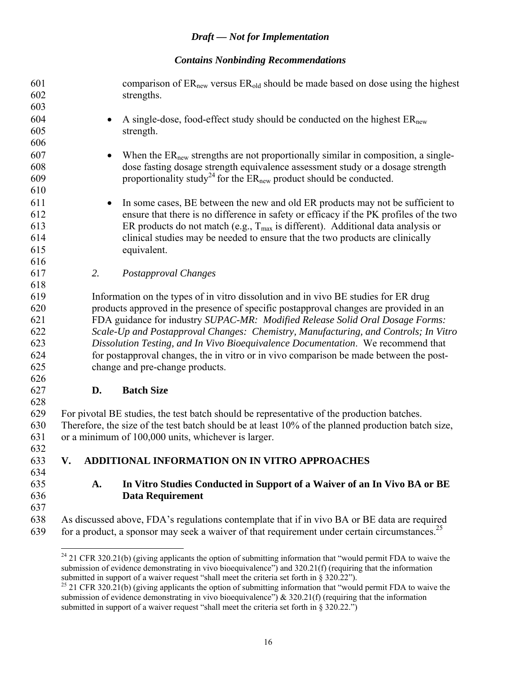<span id="page-18-0"></span>

| 601        |    |    | comparison of $ER_{new}$ versus $ER_{old}$ should be made based on dose using the highest                                                                              |
|------------|----|----|------------------------------------------------------------------------------------------------------------------------------------------------------------------------|
| 602        |    |    | strengths.                                                                                                                                                             |
| 603        |    |    |                                                                                                                                                                        |
| 604        |    |    | A single-dose, food-effect study should be conducted on the highest $ERnew$                                                                                            |
| 605        |    |    | strength.                                                                                                                                                              |
| 606        |    |    |                                                                                                                                                                        |
| 607        |    |    | When the $ER_{new}$ strengths are not proportionally similar in composition, a single-                                                                                 |
| 608        |    |    | dose fasting dosage strength equivalence assessment study or a dosage strength                                                                                         |
| 609        |    |    | proportionality study <sup>24</sup> for the $ER_{new}$ product should be conducted.                                                                                    |
| 610        |    |    |                                                                                                                                                                        |
| 611        |    |    | In some cases, BE between the new and old ER products may not be sufficient to                                                                                         |
| 612        |    |    | ensure that there is no difference in safety or efficacy if the PK profiles of the two                                                                                 |
| 613        |    |    | ER products do not match (e.g., $T_{max}$ is different). Additional data analysis or                                                                                   |
| 614        |    |    | clinical studies may be needed to ensure that the two products are clinically                                                                                          |
| 615        |    |    | equivalent.                                                                                                                                                            |
| 616        |    |    |                                                                                                                                                                        |
| 617        |    | 2. | Postapproval Changes                                                                                                                                                   |
| 618        |    |    |                                                                                                                                                                        |
| 619        |    |    | Information on the types of in vitro dissolution and in vivo BE studies for ER drug                                                                                    |
| 620<br>621 |    |    | products approved in the presence of specific postapproval changes are provided in an<br>FDA guidance for industry SUPAC-MR: Modified Release Solid Oral Dosage Forms: |
| 622        |    |    | Scale-Up and Postapproval Changes: Chemistry, Manufacturing, and Controls; In Vitro                                                                                    |
| 623        |    |    | Dissolution Testing, and In Vivo Bioequivalence Documentation. We recommend that                                                                                       |
| 624        |    |    | for postapproval changes, the in vitro or in vivo comparison be made between the post-                                                                                 |
| 625        |    |    | change and pre-change products.                                                                                                                                        |
| 626        |    |    |                                                                                                                                                                        |
| 627        |    | D. | <b>Batch Size</b>                                                                                                                                                      |
| 628        |    |    |                                                                                                                                                                        |
| 629        |    |    | For pivotal BE studies, the test batch should be representative of the production batches.                                                                             |
| 630        |    |    | Therefore, the size of the test batch should be at least 10% of the planned production batch size,                                                                     |
| 631        |    |    | or a minimum of 100,000 units, whichever is larger.                                                                                                                    |
| 632        |    |    |                                                                                                                                                                        |
| 633        | V. |    | ADDITIONAL INFORMATION ON IN VITRO APPROACHES                                                                                                                          |
| 634        |    |    |                                                                                                                                                                        |
| 635<br>636 |    | A. | In Vitro Studies Conducted in Support of a Waiver of an In Vivo BA or BE<br><b>Data Requirement</b>                                                                    |
| 637        |    |    |                                                                                                                                                                        |
| 638        |    |    | As discussed above, FDA's regulations contemplate that if in vivo BA or BE data are required                                                                           |
| 639        |    |    | for a product, a sponsor may seek a waiver of that requirement under certain circumstances. <sup>25</sup>                                                              |
|            |    |    |                                                                                                                                                                        |

 $\overline{a}$  $^{24}$  21 CFR 320.21(b) (giving applicants the option of submitting information that "would permit FDA to waive the submission of evidence demonstrating in vivo bioequivalence") and 320.21(f) (requiring that the information submission of evidence demonstrating in vivo bioequivalence") and 320.21(f) (requiring that the information submitted in support of a waiver request "shall meet the criteria set forth in  $\S$  320.22").<br><sup>25</sup> 21 CFR 320.21(b) (giving applicants the option of submitting information that "would permit FDA to waive the

submission of evidence demonstrating in vivo bioequivalence") & 320.21(f) (requiring that the information submitted in support of a waiver request "shall meet the criteria set forth in § 320.22.")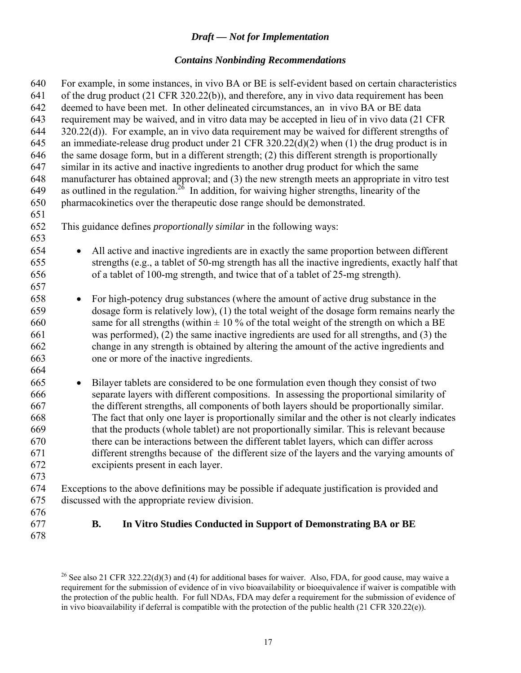<span id="page-19-0"></span>

| 640 | For example, in some instances, in vivo BA or BE is self-evident based on certain characteristics        |  |  |  |
|-----|----------------------------------------------------------------------------------------------------------|--|--|--|
| 641 | of the drug product (21 CFR 320.22(b)), and therefore, any in vivo data requirement has been             |  |  |  |
| 642 | deemed to have been met. In other delineated circumstances, an in vivo BA or BE data                     |  |  |  |
| 643 | requirement may be waived, and in vitro data may be accepted in lieu of in vivo data (21 CFR             |  |  |  |
| 644 | $320.22(d)$ ). For example, an in vivo data requirement may be waived for different strengths of         |  |  |  |
| 645 | an immediate-release drug product under 21 CFR $320.22(d)(2)$ when (1) the drug product is in            |  |  |  |
| 646 | the same dosage form, but in a different strength; (2) this different strength is proportionally         |  |  |  |
| 647 | similar in its active and inactive ingredients to another drug product for which the same                |  |  |  |
| 648 | manufacturer has obtained approval; and (3) the new strength meets an appropriate in vitro test          |  |  |  |
| 649 | as outlined in the regulation. <sup>26</sup> In addition, for waiving higher strengths, linearity of the |  |  |  |
| 650 | pharmacokinetics over the therapeutic dose range should be demonstrated.                                 |  |  |  |
| 651 |                                                                                                          |  |  |  |
| 652 | This guidance defines <i>proportionally similar</i> in the following ways:                               |  |  |  |
| 653 |                                                                                                          |  |  |  |
| 654 | All active and inactive ingredients are in exactly the same proportion between different                 |  |  |  |
| 655 | strengths (e.g., a tablet of 50-mg strength has all the inactive ingredients, exactly half that          |  |  |  |
| 656 | of a tablet of 100-mg strength, and twice that of a tablet of 25-mg strength).                           |  |  |  |
| 657 |                                                                                                          |  |  |  |
| 658 | For high-potency drug substances (where the amount of active drug substance in the<br>$\bullet$          |  |  |  |
| 659 | dosage form is relatively low), (1) the total weight of the dosage form remains nearly the               |  |  |  |
| 660 | same for all strengths (within $\pm$ 10 % of the total weight of the strength on which a BE              |  |  |  |
| 661 | was performed), (2) the same inactive ingredients are used for all strengths, and (3) the                |  |  |  |
| 662 | change in any strength is obtained by altering the amount of the active ingredients and                  |  |  |  |
| 663 | one or more of the inactive ingredients.                                                                 |  |  |  |
| 664 |                                                                                                          |  |  |  |
| 665 | Bilayer tablets are considered to be one formulation even though they consist of two<br>$\bullet$        |  |  |  |
| 666 | separate layers with different compositions. In assessing the proportional similarity of                 |  |  |  |
| 667 | the different strengths, all components of both layers should be proportionally similar.                 |  |  |  |
| 668 | The fact that only one layer is proportionally similar and the other is not clearly indicates            |  |  |  |
| 669 | that the products (whole tablet) are not proportionally similar. This is relevant because                |  |  |  |
| 670 | there can be interactions between the different tablet layers, which can differ across                   |  |  |  |
| 671 | different strengths because of the different size of the layers and the varying amounts of               |  |  |  |
| 672 | excipients present in each layer.                                                                        |  |  |  |
| 673 |                                                                                                          |  |  |  |
| 674 | Exceptions to the above definitions may be possible if adequate justification is provided and            |  |  |  |
| 675 | discussed with the appropriate review division.                                                          |  |  |  |
| 676 |                                                                                                          |  |  |  |
| 677 | <b>B.</b><br>In Vitro Studies Conducted in Support of Demonstrating BA or BE                             |  |  |  |
| 678 |                                                                                                          |  |  |  |

<sup>&</sup>lt;sup>26</sup> See also 21 CFR 322.22(d)(3) and (4) for additional bases for waiver. Also, FDA, for good cause, may waive a requirement for the submission of evidence of in vivo bioavailability or bioequivalence if waiver is compatible with the protection of the public health. For full NDAs, FDA may defer a requirement for the submission of evidence of in vivo bioavailability if deferral is compatible with the protection of the public health (21 CFR 320.22(e)).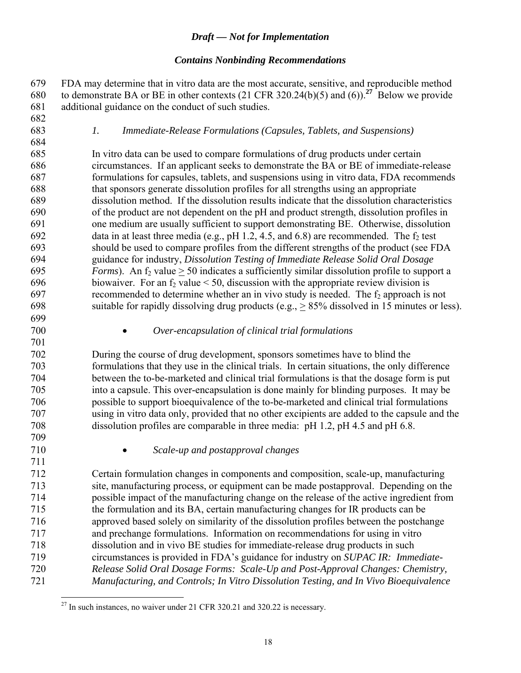#### *Contains Nonbinding Recommendations*

679 FDA may determine that in vitro data are the most accurate, sensitive, and reproducible method 680 to demonstrate BA or BE in other contexts (21 CFR 320.24(b)(5) and (6)).**<sup>27</sup>** Below we provide 681 additional guidance on the conduct of such studies.

- 682
- 684

#### 683 *1. Immediate-Release Formulations (Capsules, Tablets, and Suspensions)*

685 In vitro data can be used to compare formulations of drug products under certain 686 circumstances. If an applicant seeks to demonstrate the BA or BE of immediate-release 687 formulations for capsules, tablets, and suspensions using in vitro data, FDA recommends 688 that sponsors generate dissolution profiles for all strengths using an appropriate 689 dissolution method. If the dissolution results indicate that the dissolution characteristics 690 of the product are not dependent on the pH and product strength, dissolution profiles in 691 one medium are usually sufficient to support demonstrating BE. Otherwise, dissolution 692 data in at least three media (e.g., pH 1.2, 4.5, and 6.8) are recommended. The  $f_2$  test 693 should be used to compare profiles from the different strengths of the product (see FDA 694 guidance for industry, *Dissolution Testing of Immediate Release Solid Oral Dosage*  695 *Forms*). An  $f_2$  value  $> 50$  indicates a sufficiently similar dissolution profile to support a 696 biowaiver. For an  $f_2$  value  $\leq$  50, discussion with the appropriate review division is 697 recommended to determine whether an in vivo study is needed. The  $f_2$  approach is not 698 suitable for rapidly dissolving drug products (e.g., > 85% dissolved in 15 minutes or less).

699

701

#### 700 *Over-encapsulation of clinical trial formulations*

702 During the course of drug development, sponsors sometimes have to blind the 703 formulations that they use in the clinical trials. In certain situations, the only difference 704 between the to-be-marketed and clinical trial formulations is that the dosage form is put 705 into a capsule. This over-encapsulation is done mainly for blinding purposes. It may be 706 possible to support bioequivalence of the to-be-marketed and clinical trial formulations 707 using in vitro data only, provided that no other excipients are added to the capsule and the 708 dissolution profiles are comparable in three media: pH 1.2, pH 4.5 and pH 6.8.

709 711

#### 710 *Scale-up and postapproval changes*

712 Certain formulation changes in components and composition, scale-up, manufacturing 713 site, manufacturing process, or equipment can be made postapproval. Depending on the 714 possible impact of the manufacturing change on the release of the active ingredient from 715 the formulation and its BA, certain manufacturing changes for IR products can be 716 approved based solely on similarity of the dissolution profiles between the postchange 717 and prechange formulations. Information on recommendations for using in vitro 718 dissolution and in vivo BE studies for immediate-release drug products in such 719 circumstances is provided in FDA's guidance for industry on *SUPAC IR: Immediate-*720 *Release Solid Oral Dosage Forms: Scale-Up and Post-Approval Changes: Chemistry,*  721 *Manufacturing, and Controls; In Vitro Dissolution Testing, and In Vivo Bioequivalence* 

 $\overline{a}$  $^{27}$  In such instances, no waiver under 21 CFR 320.21 and 320.22 is necessary.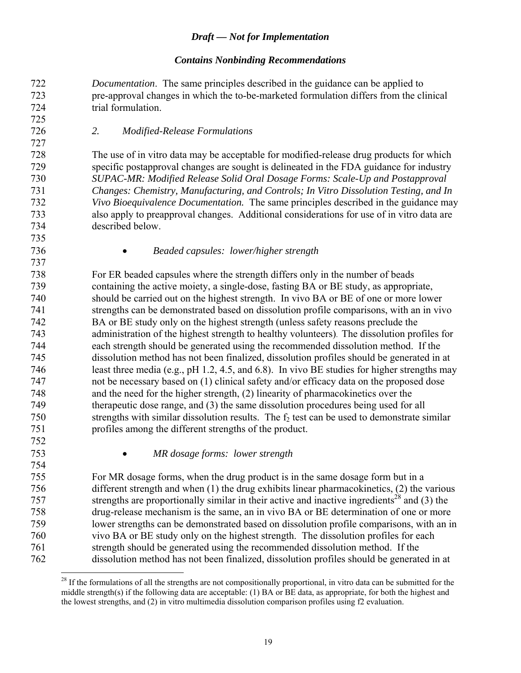#### *Contains Nonbinding Recommendations*

722 *Documentation*. The same principles described in the guidance can be applied to 723 pre-approval changes in which the to-be-marketed formulation differs from the clinical 724 trial formulation.

726 *2. Modified-Release Formulations* 

728 The use of in vitro data may be acceptable for modified-release drug products for which 729 specific postapproval changes are sought is delineated in the FDA guidance for industry 730 *SUPAC-MR: Modified Release Solid Oral Dosage Forms: Scale-Up and Postapproval*  731 *Changes: Chemistry, Manufacturing, and Controls; In Vitro Dissolution Testing, and In*  732 *Vivo Bioequivalence Documentation.* The same principles described in the guidance may 733 also apply to preapproval changes. Additional considerations for use of in vitro data are 734 described below.

735 737

725

727

#### 736 *Beaded capsules: lower/higher strength*

738 For ER beaded capsules where the strength differs only in the number of beads 739 containing the active moiety, a single-dose, fasting BA or BE study, as appropriate, 740 should be carried out on the highest strength. In vivo BA or BE of one or more lower 741 strengths can be demonstrated based on dissolution profile comparisons, with an in vivo 742 BA or BE study only on the highest strength (unless safety reasons preclude the 743 administration of the highest strength to healthy volunteers). The dissolution profiles for 744 each strength should be generated using the recommended dissolution method. If the 745 dissolution method has not been finalized, dissolution profiles should be generated in at 746 least three media (e.g., pH 1.2, 4.5, and 6.8). In vivo BE studies for higher strengths may 747 not be necessary based on (1) clinical safety and/or efficacy data on the proposed dose 748 and the need for the higher strength, (2) linearity of pharmacokinetics over the 749 therapeutic dose range, and (3) the same dissolution procedures being used for all 750 strengths with similar dissolution results. The  $f_2$  test can be used to demonstrate similar 751 profiles among the different strengths of the product.

752

754

 $\overline{a}$ 

753 *MR dosage forms: lower strength* 

755 For MR dosage forms, when the drug product is in the same dosage form but in a 756 different strength and when (1) the drug exhibits linear pharmacokinetics, (2) the various 757 strengths are proportionally similar in their active and inactive ingredients<sup>28</sup> and (3) the 758 drug-release mechanism is the same, an in vivo BA or BE determination of one or more 759 lower strengths can be demonstrated based on dissolution profile comparisons, with an in 760 vivo BA or BE study only on the highest strength. The dissolution profiles for each 761 strength should be generated using the recommended dissolution method. If the 762 dissolution method has not been finalized, dissolution profiles should be generated in at

 $2<sup>28</sup>$  If the formulations of all the strengths are not compositionally proportional, in vitro data can be submitted for the middle strength(s) if the following data are acceptable: (1) BA or BE data, as appropriate, for both the highest and the lowest strengths, and (2) in vitro multimedia dissolution comparison profiles using f2 evaluation.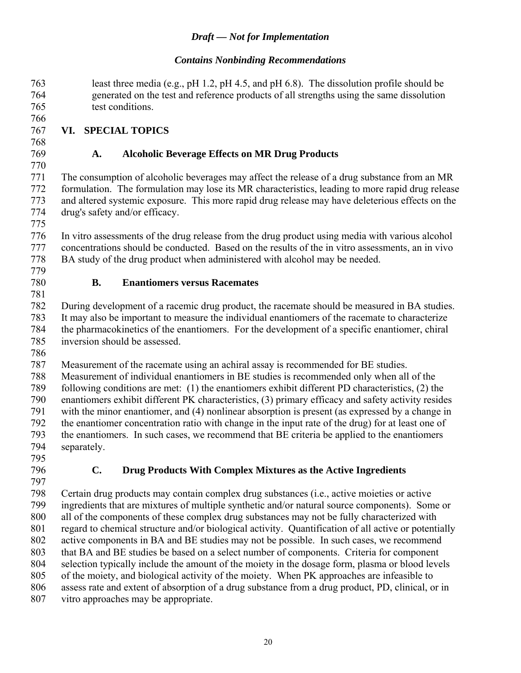#### *Contains Nonbinding Recommendations*

763 least three media (e.g., pH 1.2, pH 4.5, and pH 6.8). The dissolution profile should be 764 generated on the test and reference products of all strengths using the same dissolution 765 test conditions.

766

#### 767 **VI. SPECIAL TOPICS**

768

# 770

#### 769 **A. Alcoholic Beverage Effects on MR Drug Products**

771 The consumption of alcoholic beverages may affect the release of a drug substance from an MR 772 formulation. The formulation may lose its MR characteristics, leading to more rapid drug release 773 and altered systemic exposure. This more rapid drug release may have deleterious effects on the 774 drug's safety and/or efficacy. 775

776 In vitro assessments of the drug release from the drug product using media with various alcohol 777 concentrations should be conducted. Based on the results of the in vitro assessments, an in vivo 778 BA study of the drug product when administered with alcohol may be needed.

779

781

#### 780 **B. Enantiomers versus Racemates**

782 During development of a racemic drug product, the racemate should be measured in BA studies. 783 It may also be important to measure the individual enantiomers of the racemate to characterize 784 the pharmacokinetics of the enantiomers. For the development of a specific enantiomer, chiral 785 inversion should be assessed.

786

787 Measurement of the racemate using an achiral assay is recommended for BE studies.

788 Measurement of individual enantiomers in BE studies is recommended only when all of the 789 following conditions are met: (1) the enantiomers exhibit different PD characteristics, (2) the 790 enantiomers exhibit different PK characteristics, (3) primary efficacy and safety activity resides 791 with the minor enantiomer, and (4) nonlinear absorption is present (as expressed by a change in 792 the enantiomer concentration ratio with change in the input rate of the drug) for at least one of 793 the enantiomers. In such cases, we recommend that BE criteria be applied to the enantiomers 794 separately.

795

#### 796 **C. Drug Products With Complex Mixtures as the Active Ingredients**

797 798 Certain drug products may contain complex drug substances (i.e., active moieties or active 799 ingredients that are mixtures of multiple synthetic and/or natural source components). Some or 800 all of the components of these complex drug substances may not be fully characterized with 801 regard to chemical structure and/or biological activity. Quantification of all active or potentially 802 active components in BA and BE studies may not be possible. In such cases, we recommend 803 that BA and BE studies be based on a select number of components. Criteria for component 804 selection typically include the amount of the moiety in the dosage form, plasma or blood levels 805 of the moiety, and biological activity of the moiety. When PK approaches are infeasible to 806 assess rate and extent of absorption of a drug substance from a drug product, PD, clinical, or in 807 vitro approaches may be appropriate.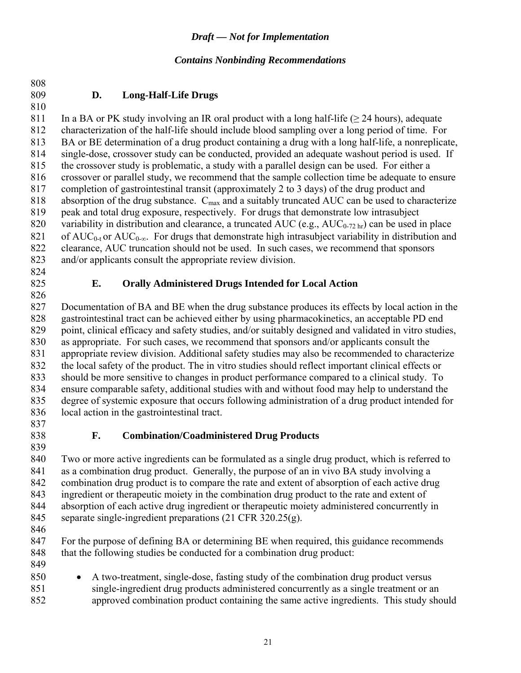#### *Contains Nonbinding Recommendations*

#### 808

#### 809 **D. Long-Half-Life Drugs**

810 811 In a BA or PK study involving an IR oral product with a long half-life ( $> 24$  hours), adequate 812 characterization of the half-life should include blood sampling over a long period of time. For 813 BA or BE determination of a drug product containing a drug with a long half-life, a nonreplicate, 814 single-dose, crossover study can be conducted, provided an adequate washout period is used. If 815 the crossover study is problematic, a study with a parallel design can be used. For either a 816 crossover or parallel study, we recommend that the sample collection time be adequate to ensure 817 completion of gastrointestinal transit (approximately 2 to 3 days) of the drug product and 818 absorption of the drug substance.  $C_{\text{max}}$  and a suitably truncated AUC can be used to characterize peak and total drug exposure, respectively. For drugs that demonstrate low intrasubject 819 peak and total drug exposure, respectively. For drugs that demonstrate low intrasubject 820 variability in distribution and clearance, a truncated AUC (e.g., AUC<sub>0-72 hr</sub>) can be used in place 821 of  $AUC_{0-t}$  or  $AUC_{0-\infty}$ . For drugs that demonstrate high intrasubject variability in distribution and 822 clearance, AUC truncation should not be used. In such cases, we recommend that sponsors 823 and/or applicants consult the appropriate review division.

- 824
- 826

#### 825 **E. Orally Administered Drugs Intended for Local Action**

827 Documentation of BA and BE when the drug substance produces its effects by local action in the 828 gastrointestinal tract can be achieved either by using pharmacokinetics, an acceptable PD end 829 point, clinical efficacy and safety studies, and/or suitably designed and validated in vitro studies, 830 as appropriate. For such cases, we recommend that sponsors and/or applicants consult the 831 appropriate review division. Additional safety studies may also be recommended to characterize 832 the local safety of the product. The in vitro studies should reflect important clinical effects or 833 should be more sensitive to changes in product performance compared to a clinical study. To 834 ensure comparable safety, additional studies with and without food may help to understand the 835 degree of systemic exposure that occurs following administration of a drug product intended for 836 local action in the gastrointestinal tract.

- 837
- 839

#### 838 **F. Combination/Coadministered Drug Products**

840 Two or more active ingredients can be formulated as a single drug product, which is referred to 841 as a combination drug product. Generally, the purpose of an in vivo BA study involving a 842 combination drug product is to compare the rate and extent of absorption of each active drug 843 ingredient or therapeutic moiety in the combination drug product to the rate and extent of 844 absorption of each active drug ingredient or therapeutic moiety administered concurrently in 845 separate single-ingredient preparations (21 CFR 320.25(g).

846

847 For the purpose of defining BA or determining BE when required, this guidance recommends 848 that the following studies be conducted for a combination drug product:

849

850 • A two-treatment, single-dose, fasting study of the combination drug product versus 851 single-ingredient drug products administered concurrently as a single treatment or an 852 approved combination product containing the same active ingredients. This study should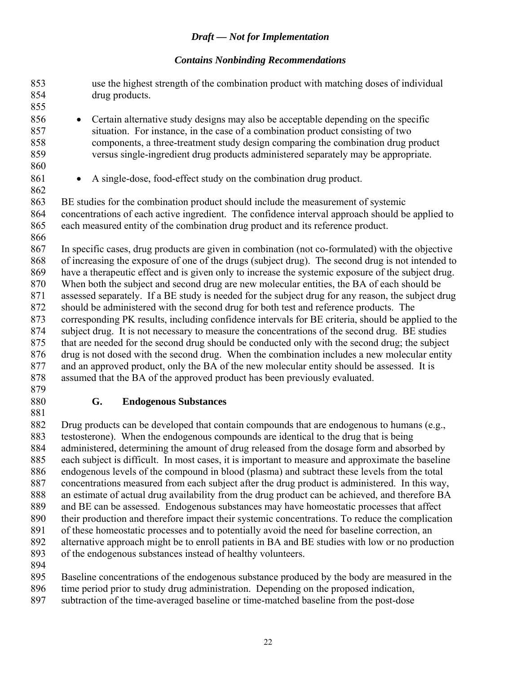#### *Contains Nonbinding Recommendations*

<span id="page-24-0"></span>

| 853<br>854 |    | use the highest strength of the combination product with matching doses of individual<br>drug products.                                                                                               |
|------------|----|-------------------------------------------------------------------------------------------------------------------------------------------------------------------------------------------------------|
| 855        |    |                                                                                                                                                                                                       |
| 856<br>857 |    | Certain alternative study designs may also be acceptable depending on the specific<br>situation. For instance, in the case of a combination product consisting of two                                 |
| 858        |    | components, a three-treatment study design comparing the combination drug product                                                                                                                     |
| 859        |    | versus single-ingredient drug products administered separately may be appropriate.                                                                                                                    |
| 860        |    |                                                                                                                                                                                                       |
| 861        |    | A single-dose, food-effect study on the combination drug product.                                                                                                                                     |
| 862        |    |                                                                                                                                                                                                       |
| 863        |    | BE studies for the combination product should include the measurement of systemic                                                                                                                     |
| 864        |    | concentrations of each active ingredient. The confidence interval approach should be applied to                                                                                                       |
| 865        |    | each measured entity of the combination drug product and its reference product.                                                                                                                       |
| 866<br>867 |    |                                                                                                                                                                                                       |
| 868        |    | In specific cases, drug products are given in combination (not co-formulated) with the objective<br>of increasing the exposure of one of the drugs (subject drug). The second drug is not intended to |
| 869        |    | have a therapeutic effect and is given only to increase the systemic exposure of the subject drug.                                                                                                    |
| 870        |    | When both the subject and second drug are new molecular entities, the BA of each should be                                                                                                            |
| 871        |    | assessed separately. If a BE study is needed for the subject drug for any reason, the subject drug                                                                                                    |
| 872        |    | should be administered with the second drug for both test and reference products. The                                                                                                                 |
| 873        |    | corresponding PK results, including confidence intervals for BE criteria, should be applied to the                                                                                                    |
| 874        |    | subject drug. It is not necessary to measure the concentrations of the second drug. BE studies                                                                                                        |
| 875        |    | that are needed for the second drug should be conducted only with the second drug; the subject                                                                                                        |
| 876        |    | drug is not dosed with the second drug. When the combination includes a new molecular entity                                                                                                          |
| 877        |    | and an approved product, only the BA of the new molecular entity should be assessed. It is                                                                                                            |
| 878        |    | assumed that the BA of the approved product has been previously evaluated.                                                                                                                            |
| 879        |    |                                                                                                                                                                                                       |
| 880<br>881 | G. | <b>Endogenous Substances</b>                                                                                                                                                                          |
| 882        |    | Drug products can be developed that contain compounds that are endogenous to humans (e.g.,                                                                                                            |
| 883        |    | testosterone). When the endogenous compounds are identical to the drug that is being                                                                                                                  |
| 884        |    | administered, determining the amount of drug released from the dosage form and absorbed by                                                                                                            |
| 885        |    | each subject is difficult. In most cases, it is important to measure and approximate the baseline                                                                                                     |
| 886        |    | endogenous levels of the compound in blood (plasma) and subtract these levels from the total                                                                                                          |
| 887        |    | concentrations measured from each subject after the drug product is administered. In this way,                                                                                                        |
| 888        |    | an estimate of actual drug availability from the drug product can be achieved, and therefore BA                                                                                                       |
| 889        |    | and BE can be assessed. Endogenous substances may have homeostatic processes that affect                                                                                                              |
| 890        |    | their production and therefore impact their systemic concentrations. To reduce the complication                                                                                                       |
| 891        |    | of these homeostatic processes and to potentially avoid the need for baseline correction, an                                                                                                          |
| 892        |    | alternative approach might be to enroll patients in BA and BE studies with low or no production                                                                                                       |
| 893        |    | of the endogenous substances instead of healthy volunteers.                                                                                                                                           |

894

895 Baseline concentrations of the endogenous substance produced by the body are measured in the

896 time period prior to study drug administration. Depending on the proposed indication,

897 subtraction of the time-averaged baseline or time-matched baseline from the post-dose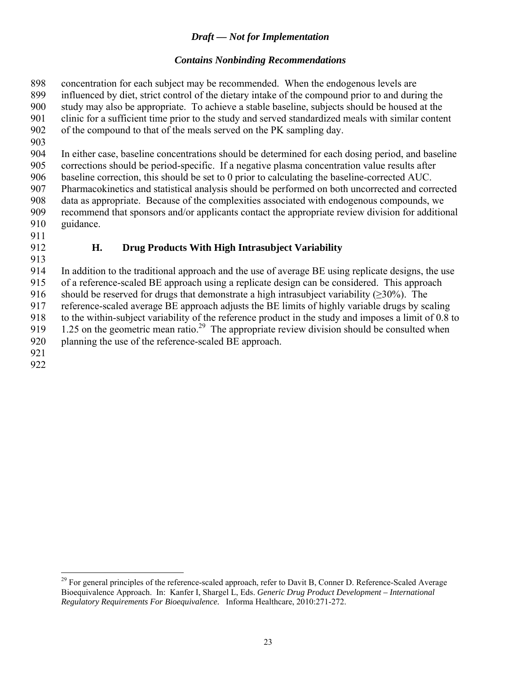#### *Contains Nonbinding Recommendations*

898 concentration for each subject may be recommended. When the endogenous levels are 899 influenced by diet, strict control of the dietary intake of the compound prior to and during the 900 study may also be appropriate. To achieve a stable baseline, subjects should be housed at the 901 clinic for a sufficient time prior to the study and served standardized meals with similar content 902 of the compound to that of the meals served on the PK sampling day.

903

904 In either case, baseline concentrations should be determined for each dosing period, and baseline 905 corrections should be period-specific. If a negative plasma concentration value results after 906 baseline correction, this should be set to 0 prior to calculating the baseline-corrected AUC. 907 Pharmacokinetics and statistical analysis should be performed on both uncorrected and corrected 908 data as appropriate. Because of the complexities associated with endogenous compounds, we 909 recommend that sponsors and/or applicants contact the appropriate review division for additional

910 guidance.

 $\overline{a}$ 

- 911
- 913

#### 912 **H. Drug Products With High Intrasubject Variability**

914 In addition to the traditional approach and the use of average BE using replicate designs, the use 915 of a reference-scaled BE approach using a replicate design can be considered. This approach 916 should be reserved for drugs that demonstrate a high intrasubject variability ( $\geq$ 30%). The 917 reference-scaled average BE approach adjusts the BE limits of highly variable drugs by scaling 918 to the within-subject variability of the reference product in the study and imposes a limit of 0.8 to 919 1.25 on the geometric mean ratio.<sup>29</sup> The appropriate review division should be consulted when 920 planning the use of the reference-scaled BE approach. 921 922

 $^{29}$  For general principles of the reference-scaled approach, refer to Davit B, Conner D. Reference-Scaled Average Bioequivalence Approach. In: Kanfer I, Shargel L, Eds. *Generic Drug Product Development – International Regulatory Requirements For Bioequivalence.* Informa Healthcare, 2010:271-272.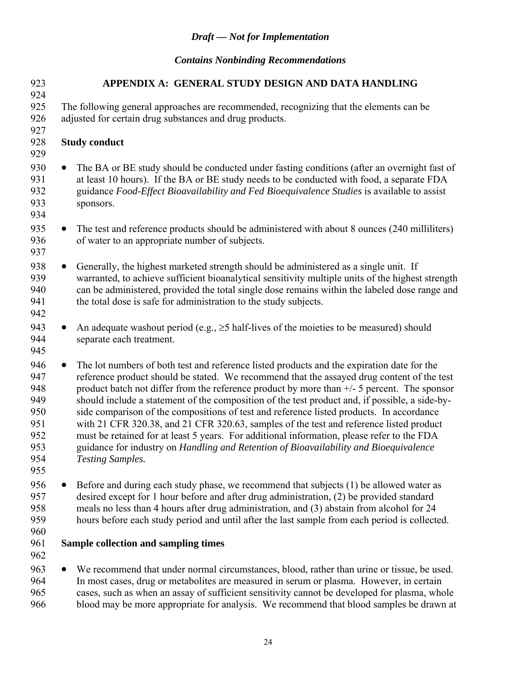#### *Contains Nonbinding Recommendations*

<span id="page-26-0"></span>

| 923<br>924                      | APPENDIX A: GENERAL STUDY DESIGN AND DATA HANDLING                                                                                                                                                                                                                                                                                                                               |
|---------------------------------|----------------------------------------------------------------------------------------------------------------------------------------------------------------------------------------------------------------------------------------------------------------------------------------------------------------------------------------------------------------------------------|
| 925<br>926<br>927               | The following general approaches are recommended, recognizing that the elements can be<br>adjusted for certain drug substances and drug products.                                                                                                                                                                                                                                |
| 928<br>929                      | <b>Study conduct</b>                                                                                                                                                                                                                                                                                                                                                             |
| 930                             | The BA or BE study should be conducted under fasting conditions (after an overnight fast of                                                                                                                                                                                                                                                                                      |
| 931                             | $\bullet$                                                                                                                                                                                                                                                                                                                                                                        |
| 932                             | at least 10 hours). If the BA or BE study needs to be conducted with food, a separate FDA                                                                                                                                                                                                                                                                                        |
| 933                             | guidance Food-Effect Bioavailability and Fed Bioequivalence Studies is available to assist                                                                                                                                                                                                                                                                                       |
| 934                             | sponsors.                                                                                                                                                                                                                                                                                                                                                                        |
| 935                             | The test and reference products should be administered with about 8 ounces (240 milliliters)                                                                                                                                                                                                                                                                                     |
| 936                             | $\bullet$                                                                                                                                                                                                                                                                                                                                                                        |
| 937                             | of water to an appropriate number of subjects.                                                                                                                                                                                                                                                                                                                                   |
| 938                             | Generally, the highest marketed strength should be administered as a single unit. If                                                                                                                                                                                                                                                                                             |
| 939                             | $\bullet$                                                                                                                                                                                                                                                                                                                                                                        |
| 940                             | warranted, to achieve sufficient bioanalytical sensitivity multiple units of the highest strength                                                                                                                                                                                                                                                                                |
| 941                             | can be administered, provided the total single dose remains within the labeled dose range and                                                                                                                                                                                                                                                                                    |
| 942                             | the total dose is safe for administration to the study subjects.                                                                                                                                                                                                                                                                                                                 |
| 943                             | An adequate washout period (e.g., $\geq$ 5 half-lives of the moieties to be measured) should                                                                                                                                                                                                                                                                                     |
| 944                             | $\bullet$                                                                                                                                                                                                                                                                                                                                                                        |
| 945                             | separate each treatment.                                                                                                                                                                                                                                                                                                                                                         |
| 946                             | The lot numbers of both test and reference listed products and the expiration date for the                                                                                                                                                                                                                                                                                       |
| 947                             | $\bullet$                                                                                                                                                                                                                                                                                                                                                                        |
| 948                             | reference product should be stated. We recommend that the assayed drug content of the test                                                                                                                                                                                                                                                                                       |
| 949                             | product batch not differ from the reference product by more than $+/-$ 5 percent. The sponsor                                                                                                                                                                                                                                                                                    |
| 950                             | should include a statement of the composition of the test product and, if possible, a side-by-                                                                                                                                                                                                                                                                                   |
| 951                             | side comparison of the compositions of test and reference listed products. In accordance                                                                                                                                                                                                                                                                                         |
| 952                             | with 21 CFR 320.38, and 21 CFR 320.63, samples of the test and reference listed product                                                                                                                                                                                                                                                                                          |
| 953                             | must be retained for at least 5 years. For additional information, please refer to the FDA                                                                                                                                                                                                                                                                                       |
| 954                             | guidance for industry on Handling and Retention of Bioavailability and Bioequivalence                                                                                                                                                                                                                                                                                            |
| 955                             | <i>Testing Samples.</i>                                                                                                                                                                                                                                                                                                                                                          |
| 956<br>957<br>958<br>959<br>960 | Before and during each study phase, we recommend that subjects (1) be allowed water as<br>desired except for 1 hour before and after drug administration, (2) be provided standard<br>meals no less than 4 hours after drug administration, and (3) abstain from alcohol for 24<br>hours before each study period and until after the last sample from each period is collected. |
| 961<br>962                      | <b>Sample collection and sampling times</b>                                                                                                                                                                                                                                                                                                                                      |
| 963                             | We recommend that under normal circumstances, blood, rather than urine or tissue, be used.                                                                                                                                                                                                                                                                                       |
| 964                             | In most cases, drug or metabolites are measured in serum or plasma. However, in certain                                                                                                                                                                                                                                                                                          |
| 965                             | cases, such as when an assay of sufficient sensitivity cannot be developed for plasma, whole                                                                                                                                                                                                                                                                                     |

965 cases, such as when an assay of sufficient sensitivity cannot be developed for plasma, whole 966 blood may be more appropriate for analysis. We recommend that blood samples be drawn at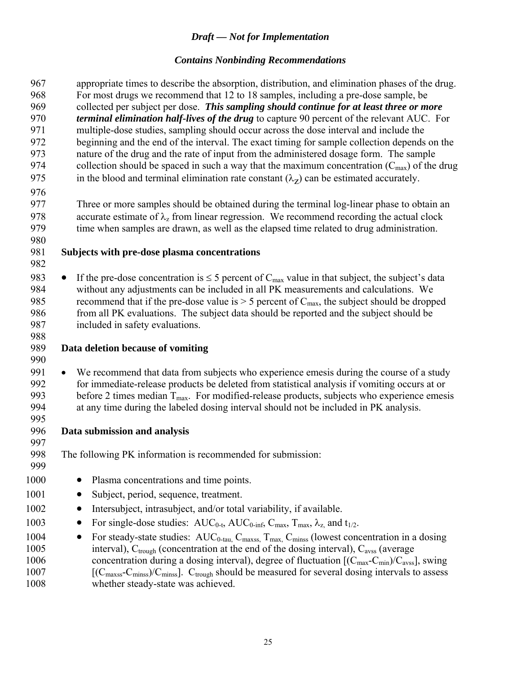| 967        | appropriate times to describe the absorption, distribution, and elimination phases of the drug.                                                   |
|------------|---------------------------------------------------------------------------------------------------------------------------------------------------|
| 968        | For most drugs we recommend that 12 to 18 samples, including a pre-dose sample, be                                                                |
| 969        | collected per subject per dose. This sampling should continue for at least three or more                                                          |
| 970        | <i>terminal elimination half-lives of the drug</i> to capture 90 percent of the relevant AUC. For                                                 |
| 971        | multiple-dose studies, sampling should occur across the dose interval and include the                                                             |
| 972        | beginning and the end of the interval. The exact timing for sample collection depends on the                                                      |
| 973        | nature of the drug and the rate of input from the administered dosage form. The sample                                                            |
| 974        | collection should be spaced in such a way that the maximum concentration $(C_{\text{max}})$ of the drug                                           |
| 975        | in the blood and terminal elimination rate constant $(\lambda_z)$ can be estimated accurately.                                                    |
| 976        |                                                                                                                                                   |
| 977        | Three or more samples should be obtained during the terminal log-linear phase to obtain an                                                        |
| 978        | accurate estimate of $\lambda_z$ from linear regression. We recommend recording the actual clock                                                  |
| 979        | time when samples are drawn, as well as the elapsed time related to drug administration.                                                          |
| 980        |                                                                                                                                                   |
| 981        | Subjects with pre-dose plasma concentrations                                                                                                      |
| 982        |                                                                                                                                                   |
| 983        | If the pre-dose concentration is $\leq$ 5 percent of C <sub>max</sub> value in that subject, the subject's data<br>$\bullet$                      |
| 984        | without any adjustments can be included in all PK measurements and calculations. We                                                               |
| 985        | recommend that if the pre-dose value is $> 5$ percent of $C_{\text{max}}$ , the subject should be dropped                                         |
| 986        | from all PK evaluations. The subject data should be reported and the subject should be                                                            |
| 987        | included in safety evaluations.                                                                                                                   |
| 988        |                                                                                                                                                   |
| 989        | Data deletion because of vomiting                                                                                                                 |
| 990        |                                                                                                                                                   |
| 991        | We recommend that data from subjects who experience emesis during the course of a study<br>$\bullet$                                              |
| 992        | for immediate-release products be deleted from statistical analysis if vomiting occurs at or                                                      |
| 993        | before 2 times median $T_{\text{max}}$ . For modified-release products, subjects who experience emests                                            |
| 994        | at any time during the labeled dosing interval should not be included in PK analysis.                                                             |
| 995        |                                                                                                                                                   |
| 996<br>997 | Data submission and analysis                                                                                                                      |
| 998        | The following PK information is recommended for submission:                                                                                       |
| 999        |                                                                                                                                                   |
| 1000       | Plasma concentrations and time points.                                                                                                            |
| 1001       | Subject, period, sequence, treatment.                                                                                                             |
| 1002       | Intersubject, intrasubject, and/or total variability, if available.                                                                               |
| 1003       | For single-dose studies: $AUC_{0-t}$ , $AUC_{0-int}$ , $C_{max}$ , $T_{max}$ , $\lambda_z$ , and $t_{1/2}$ .<br>$\bullet$                         |
| 1004       | For steady-state studies: AUC <sub>0-tau,</sub> C <sub>maxss,</sub> T <sub>max</sub> , C <sub>minss</sub> (lowest concentration in a dosing       |
| 1005       | interval), $C_{trough}$ (concentration at the end of the dosing interval), $C_{avss}$ (average                                                    |
| 1006       | concentration during a dosing interval), degree of fluctuation $[(C_{max}-C_{min})/C_{avss}]$ , swing                                             |
| 1007       | $[$ (C <sub>maxss</sub> -C <sub>minss</sub> )/C <sub>minss</sub> ]. C <sub>trough</sub> should be measured for several dosing intervals to assess |
| 1008       | whether steady-state was achieved.                                                                                                                |
|            |                                                                                                                                                   |